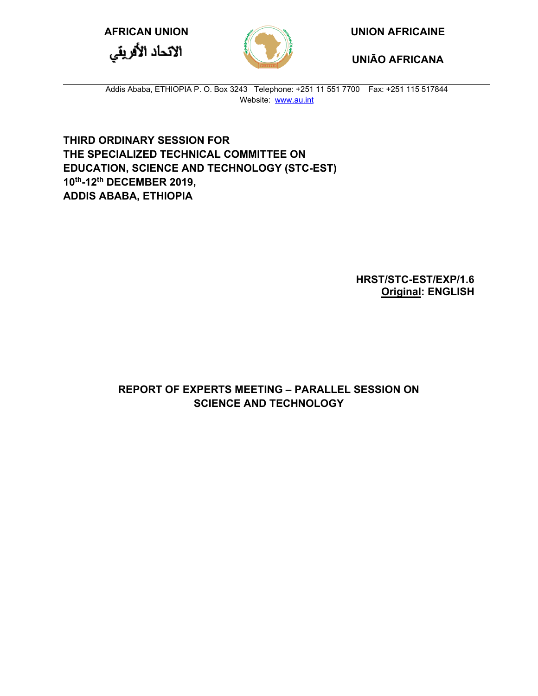الاتحاد الأفريقي



**AFRICAN UNION UNION AFRICAINE**

**UNIÃO AFRICANA**

Addis Ababa, ETHIOPIA P. O. Box 3243 Telephone: +251 11 551 7700 Fax: +251 115 517844 Website: [www.au.int](http://www.au.int/)

**THIRD ORDINARY SESSION FOR THE SPECIALIZED TECHNICAL COMMITTEE ON EDUCATION, SCIENCE AND TECHNOLOGY (STC-EST) 10th-12th DECEMBER 2019, ADDIS ABABA, ETHIOPIA** 

> **HRST/STC-EST/EXP/1.6 Original: ENGLISH**

**REPORT OF EXPERTS MEETING – PARALLEL SESSION ON SCIENCE AND TECHNOLOGY**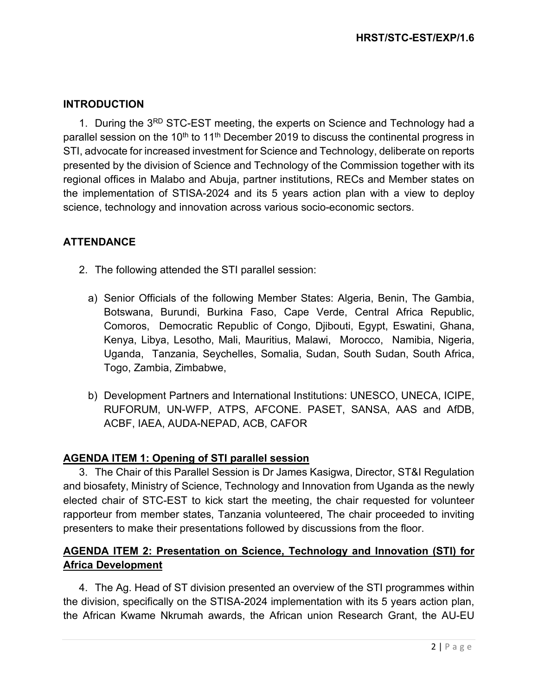## **INTRODUCTION**

1. During the 3<sup>RD</sup> STC-EST meeting, the experts on Science and Technology had a parallel session on the 10<sup>th</sup> to 11<sup>th</sup> December 2019 to discuss the continental progress in STI, advocate for increased investment for Science and Technology, deliberate on reports presented by the division of Science and Technology of the Commission together with its regional offices in Malabo and Abuja, partner institutions, RECs and Member states on the implementation of STISA-2024 and its 5 years action plan with a view to deploy science, technology and innovation across various socio-economic sectors.

## **ATTENDANCE**

- 2. The following attended the STI parallel session:
	- a) Senior Officials of the following Member States: Algeria, Benin, The Gambia, Botswana, Burundi, Burkina Faso, Cape Verde, Central Africa Republic, Comoros, Democratic Republic of Congo, Djibouti, Egypt, Eswatini, Ghana, Kenya, Libya, Lesotho, Mali, Mauritius, Malawi, Morocco, Namibia, Nigeria, Uganda, Tanzania, Seychelles, Somalia, Sudan, South Sudan, South Africa, Togo, Zambia, Zimbabwe,
	- b) Development Partners and International Institutions: UNESCO, UNECA, ICIPE, RUFORUM, UN-WFP, ATPS, AFCONE. PASET, SANSA, AAS and AfDB, ACBF, IAEA, AUDA-NEPAD, ACB, CAFOR

## **AGENDA ITEM 1: Opening of STI parallel session**

3. The Chair of this Parallel Session is Dr James Kasigwa, Director, ST&I Regulation and biosafety, Ministry of Science, Technology and Innovation from Uganda as the newly elected chair of STC-EST to kick start the meeting, the chair requested for volunteer rapporteur from member states, Tanzania volunteered, The chair proceeded to inviting presenters to make their presentations followed by discussions from the floor.

# **AGENDA ITEM 2: Presentation on Science, Technology and Innovation (STI) for Africa Development**

4. The Ag. Head of ST division presented an overview of the STI programmes within the division, specifically on the STISA-2024 implementation with its 5 years action plan, the African Kwame Nkrumah awards, the African union Research Grant, the AU-EU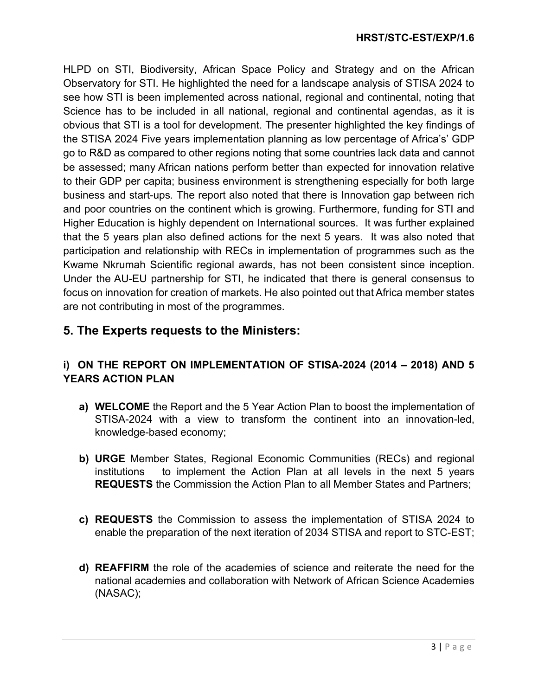HLPD on STI, Biodiversity, African Space Policy and Strategy and on the African Observatory for STI. He highlighted the need for a landscape analysis of STISA 2024 to see how STI is been implemented across national, regional and continental, noting that Science has to be included in all national, regional and continental agendas, as it is obvious that STI is a tool for development. The presenter highlighted the key findings of the STISA 2024 Five years implementation planning as low percentage of Africa's' GDP go to R&D as compared to other regions noting that some countries lack data and cannot be assessed; many African nations perform better than expected for innovation relative to their GDP per capita; business environment is strengthening especially for both large business and start-ups*.* The report also noted that there is Innovation gap between rich and poor countries on the continent which is growing. Furthermore, funding for STI and Higher Education is highly dependent on International sources. It was further explained that the 5 years plan also defined actions for the next 5 years. It was also noted that participation and relationship with RECs in implementation of programmes such as the Kwame Nkrumah Scientific regional awards, has not been consistent since inception. Under the AU-EU partnership for STI, he indicated that there is general consensus to focus on innovation for creation of markets. He also pointed out that Africa member states are not contributing in most of the programmes.

# **5. The Experts requests to the Ministers:**

## **i) ON THE REPORT ON IMPLEMENTATION OF STISA-2024 (2014 – 2018) AND 5 YEARS ACTION PLAN**

- **a) WELCOME** the Report and the 5 Year Action Plan to boost the implementation of STISA-2024 with a view to transform the continent into an innovation-led, knowledge-based economy;
- **b) URGE** Member States, Regional Economic Communities (RECs) and regional institutions to implement the Action Plan at all levels in the next 5 years **REQUESTS** the Commission the Action Plan to all Member States and Partners;
- **c) REQUESTS** the Commission to assess the implementation of STISA 2024 to enable the preparation of the next iteration of 2034 STISA and report to STC-EST;
- **d) REAFFIRM** the role of the academies of science and reiterate the need for the national academies and collaboration with Network of African Science Academies (NASAC);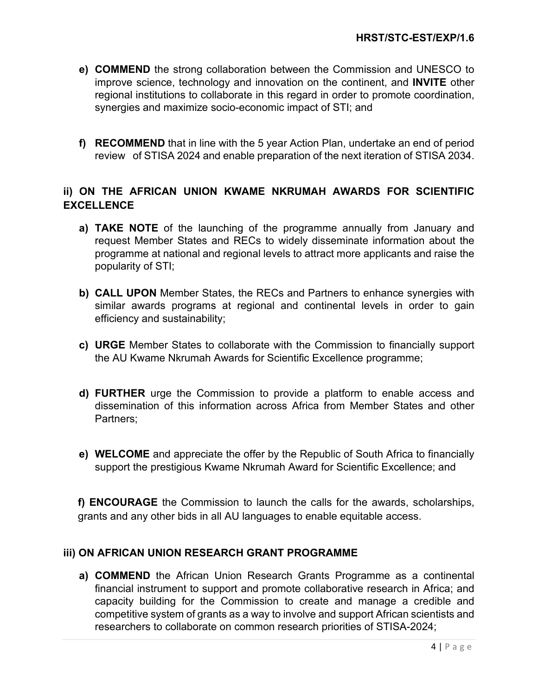- **e) COMMEND** the strong collaboration between the Commission and UNESCO to improve science, technology and innovation on the continent, and **INVITE** other regional institutions to collaborate in this regard in order to promote coordination, synergies and maximize socio-economic impact of STI; and
- **f) RECOMMEND** that in line with the 5 year Action Plan, undertake an end of period review of STISA 2024 and enable preparation of the next iteration of STISA 2034.

## **ii) ON THE AFRICAN UNION KWAME NKRUMAH AWARDS FOR SCIENTIFIC EXCELLENCE**

- **a) TAKE NOTE** of the launching of the programme annually from January and request Member States and RECs to widely disseminate information about the programme at national and regional levels to attract more applicants and raise the popularity of STI;
- **b) CALL UPON** Member States, the RECs and Partners to enhance synergies with similar awards programs at regional and continental levels in order to gain efficiency and sustainability;
- **c) URGE** Member States to collaborate with the Commission to financially support the AU Kwame Nkrumah Awards for Scientific Excellence programme;
- **d) FURTHER** urge the Commission to provide a platform to enable access and dissemination of this information across Africa from Member States and other Partners;
- **e) WELCOME** and appreciate the offer by the Republic of South Africa to financially support the prestigious Kwame Nkrumah Award for Scientific Excellence; and

**f) ENCOURAGE** the Commission to launch the calls for the awards, scholarships, grants and any other bids in all AU languages to enable equitable access.

### **iii) ON AFRICAN UNION RESEARCH GRANT PROGRAMME**

**a) COMMEND** the African Union Research Grants Programme as a continental financial instrument to support and promote collaborative research in Africa; and capacity building for the Commission to create and manage a credible and competitive system of grants as a way to involve and support African scientists and researchers to collaborate on common research priorities of STISA-2024;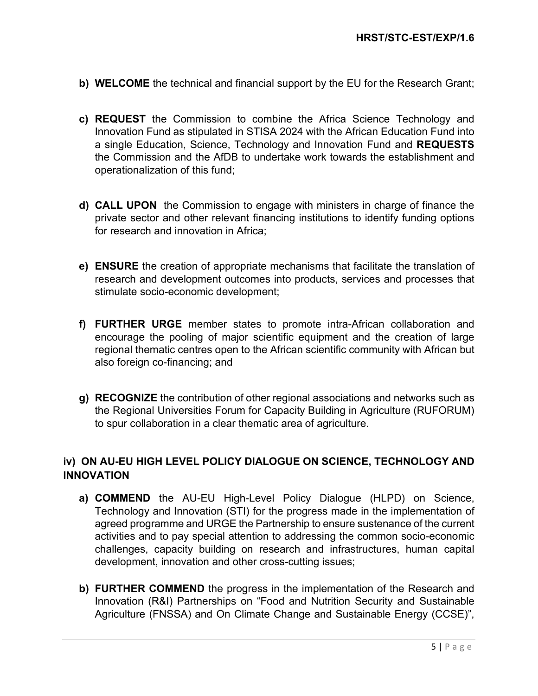- **b) WELCOME** the technical and financial support by the EU for the Research Grant;
- **c) REQUEST** the Commission to combine the Africa Science Technology and Innovation Fund as stipulated in STISA 2024 with the African Education Fund into a single Education, Science, Technology and Innovation Fund and **REQUESTS** the Commission and the AfDB to undertake work towards the establishment and operationalization of this fund;
- **d) CALL UPON** the Commission to engage with ministers in charge of finance the private sector and other relevant financing institutions to identify funding options for research and innovation in Africa;
- **e) ENSURE** the creation of appropriate mechanisms that facilitate the translation of research and development outcomes into products, services and processes that stimulate socio-economic development;
- **f) FURTHER URGE** member states to promote intra-African collaboration and encourage the pooling of major scientific equipment and the creation of large regional thematic centres open to the African scientific community with African but also foreign co-financing; and
- **g) RECOGNIZE** the contribution of other regional associations and networks such as the Regional Universities Forum for Capacity Building in Agriculture (RUFORUM) to spur collaboration in a clear thematic area of agriculture.

## **iv) ON AU-EU HIGH LEVEL POLICY DIALOGUE ON SCIENCE, TECHNOLOGY AND INNOVATION**

- **a) COMMEND** the AU-EU High-Level Policy Dialogue (HLPD) on Science, Technology and Innovation (STI) for the progress made in the implementation of agreed programme and URGE the Partnership to ensure sustenance of the current activities and to pay special attention to addressing the common socio-economic challenges, capacity building on research and infrastructures, human capital development, innovation and other cross-cutting issues;
- **b) FURTHER COMMEND** the progress in the implementation of the Research and Innovation (R&I) Partnerships on "Food and Nutrition Security and Sustainable Agriculture (FNSSA) and On Climate Change and Sustainable Energy (CCSE)",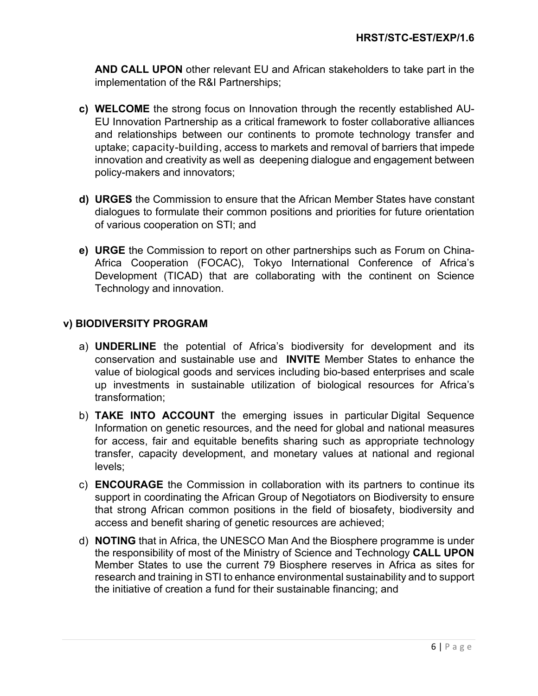**AND CALL UPON** other relevant EU and African stakeholders to take part in the implementation of the R&I Partnerships;

- **c) WELCOME** the strong focus on Innovation through the recently established AU-EU Innovation Partnership as a critical framework to foster collaborative alliances and relationships between our continents to promote technology transfer and uptake; capacity-building, access to markets and removal of barriers that impede innovation and creativity as well as deepening dialogue and engagement between policy-makers and innovators;
- **d) URGES** the Commission to ensure that the African Member States have constant dialogues to formulate their common positions and priorities for future orientation of various cooperation on STI; and
- **e) URGE** the Commission to report on other partnerships such as Forum on China-Africa Cooperation (FOCAC), Tokyo International Conference of Africa's Development (TICAD) that are collaborating with the continent on Science Technology and innovation.

## **v) BIODIVERSITY PROGRAM**

- a) **UNDERLINE** the potential of Africa's biodiversity for development and its conservation and sustainable use and **INVITE** Member States to enhance the value of biological goods and services including bio-based enterprises and scale up investments in sustainable utilization of biological resources for Africa's transformation;
- b) **TAKE INTO ACCOUNT** the emerging issues in particular Digital Sequence Information on genetic resources, and the need for global and national measures for access, fair and equitable benefits sharing such as appropriate technology transfer, capacity development, and monetary values at national and regional levels;
- c) **ENCOURAGE** the Commission in collaboration with its partners to continue its support in coordinating the African Group of Negotiators on Biodiversity to ensure that strong African common positions in the field of biosafety, biodiversity and access and benefit sharing of genetic resources are achieved;
- d) **NOTING** that in Africa, the UNESCO Man And the Biosphere programme is under the responsibility of most of the Ministry of Science and Technology **CALL UPON**  Member States to use the current 79 Biosphere reserves in Africa as sites for research and training in STI to enhance environmental sustainability and to support the initiative of creation a fund for their sustainable financing; and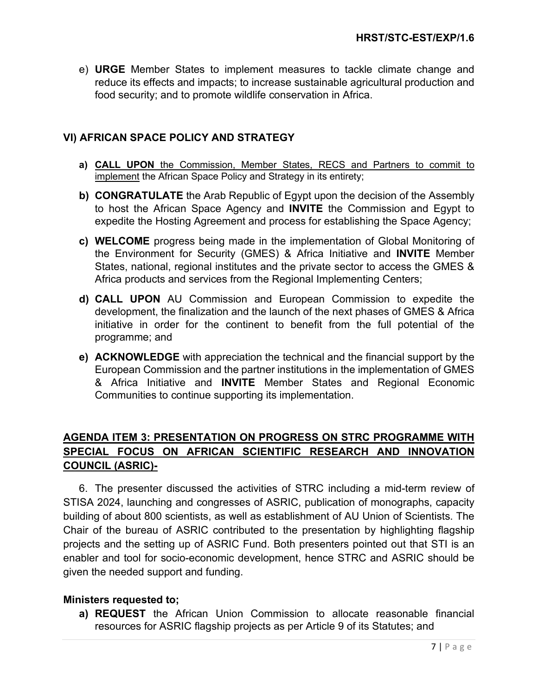e) **URGE** Member States to implement measures to tackle climate change and reduce its effects and impacts; to increase sustainable agricultural production and food security; and to promote wildlife conservation in Africa.

## **VI) AFRICAN SPACE POLICY AND STRATEGY**

- **a) CALL UPON** the Commission, Member States, RECS and Partners to commit to implement the African Space Policy and Strategy in its entirety;
- **b) CONGRATULATE** the Arab Republic of Egypt upon the decision of the Assembly to host the African Space Agency and **INVITE** the Commission and Egypt to expedite the Hosting Agreement and process for establishing the Space Agency;
- **c) WELCOME** progress being made in the implementation of Global Monitoring of the Environment for Security (GMES) & Africa Initiative and **INVITE** Member States, national, regional institutes and the private sector to access the GMES & Africa products and services from the Regional Implementing Centers;
- **d) CALL UPON** AU Commission and European Commission to expedite the development, the finalization and the launch of the next phases of GMES & Africa initiative in order for the continent to benefit from the full potential of the programme; and
- **e) ACKNOWLEDGE** with appreciation the technical and the financial support by the European Commission and the partner institutions in the implementation of GMES & Africa Initiative and **INVITE** Member States and Regional Economic Communities to continue supporting its implementation.

# **AGENDA ITEM 3: PRESENTATION ON PROGRESS ON STRC PROGRAMME WITH SPECIAL FOCUS ON AFRICAN SCIENTIFIC RESEARCH AND INNOVATION COUNCIL (ASRIC)-**

6. The presenter discussed the activities of STRC including a mid-term review of STISA 2024, launching and congresses of ASRIC, publication of monographs, capacity building of about 800 scientists, as well as establishment of AU Union of Scientists. The Chair of the bureau of ASRIC contributed to the presentation by highlighting flagship projects and the setting up of ASRIC Fund. Both presenters pointed out that STI is an enabler and tool for socio-economic development, hence STRC and ASRIC should be given the needed support and funding.

### **Ministers requested to;**

**a) REQUEST** the African Union Commission to allocate reasonable financial resources for ASRIC flagship projects as per Article 9 of its Statutes; and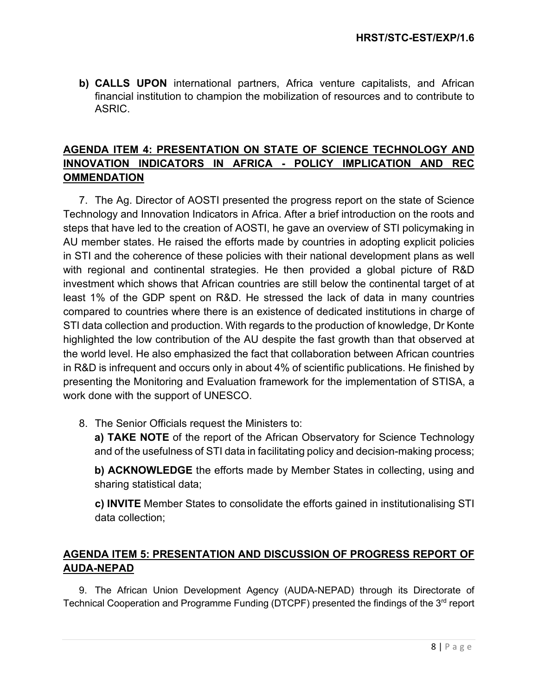**b) CALLS UPON** international partners, Africa venture capitalists, and African financial institution to champion the mobilization of resources and to contribute to ASRIC.

## **AGENDA ITEM 4: PRESENTATION ON STATE OF SCIENCE TECHNOLOGY AND INNOVATION INDICATORS IN AFRICA - POLICY IMPLICATION AND REC OMMENDATION**

7. The Ag. Director of AOSTI presented the progress report on the state of Science Technology and Innovation Indicators in Africa. After a brief introduction on the roots and steps that have led to the creation of AOSTI, he gave an overview of STI policymaking in AU member states. He raised the efforts made by countries in adopting explicit policies in STI and the coherence of these policies with their national development plans as well with regional and continental strategies. He then provided a global picture of R&D investment which shows that African countries are still below the continental target of at least 1% of the GDP spent on R&D. He stressed the lack of data in many countries compared to countries where there is an existence of dedicated institutions in charge of STI data collection and production. With regards to the production of knowledge, Dr Konte highlighted the low contribution of the AU despite the fast growth than that observed at the world level. He also emphasized the fact that collaboration between African countries in R&D is infrequent and occurs only in about 4% of scientific publications. He finished by presenting the Monitoring and Evaluation framework for the implementation of STISA, a work done with the support of UNESCO.

8. The Senior Officials request the Ministers to:

**a) TAKE NOTE** of the report of the African Observatory for Science Technology and of the usefulness of STI data in facilitating policy and decision-making process;

**b) ACKNOWLEDGE** the efforts made by Member States in collecting, using and sharing statistical data;

**c) INVITE** Member States to consolidate the efforts gained in institutionalising STI data collection;

## **AGENDA ITEM 5: PRESENTATION AND DISCUSSION OF PROGRESS REPORT OF AUDA-NEPAD**

9. The African Union Development Agency (AUDA-NEPAD) through its Directorate of Technical Cooperation and Programme Funding (DTCPF) presented the findings of the 3<sup>rd</sup> report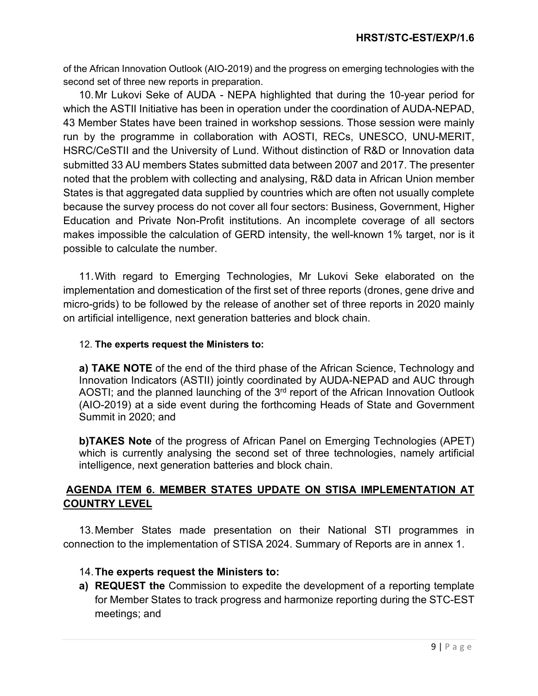of the African Innovation Outlook (AIO-2019) and the progress on emerging technologies with the second set of three new reports in preparation.

10.Mr Lukovi Seke of AUDA - NEPA highlighted that during the 10-year period for which the ASTII Initiative has been in operation under the coordination of AUDA-NEPAD, 43 Member States have been trained in workshop sessions. Those session were mainly run by the programme in collaboration with AOSTI, RECs, UNESCO, UNU-MERIT, HSRC/CeSTII and the University of Lund. Without distinction of R&D or Innovation data submitted 33 AU members States submitted data between 2007 and 2017. The presenter noted that the problem with collecting and analysing, R&D data in African Union member States is that aggregated data supplied by countries which are often not usually complete because the survey process do not cover all four sectors: Business, Government, Higher Education and Private Non-Profit institutions. An incomplete coverage of all sectors makes impossible the calculation of GERD intensity, the well-known 1% target, nor is it possible to calculate the number.

11.With regard to Emerging Technologies, Mr Lukovi Seke elaborated on the implementation and domestication of the first set of three reports (drones, gene drive and micro-grids) to be followed by the release of another set of three reports in 2020 mainly on artificial intelligence, next generation batteries and block chain.

### 12. **The experts request the Ministers to:**

**a) TAKE NOTE** of the end of the third phase of the African Science, Technology and Innovation Indicators (ASTII) jointly coordinated by AUDA-NEPAD and AUC through AOSTI; and the planned launching of the  $3<sup>rd</sup>$  report of the African Innovation Outlook (AIO-2019) at a side event during the forthcoming Heads of State and Government Summit in 2020; and

**b)TAKES Note** of the progress of African Panel on Emerging Technologies (APET) which is currently analysing the second set of three technologies, namely artificial intelligence, next generation batteries and block chain.

## **AGENDA ITEM 6. MEMBER STATES UPDATE ON STISA IMPLEMENTATION AT COUNTRY LEVEL**

13.Member States made presentation on their National STI programmes in connection to the implementation of STISA 2024. Summary of Reports are in annex 1.

## 14.**The experts request the Ministers to:**

**a) REQUEST the** Commission to expedite the development of a reporting template for Member States to track progress and harmonize reporting during the STC-EST meetings; and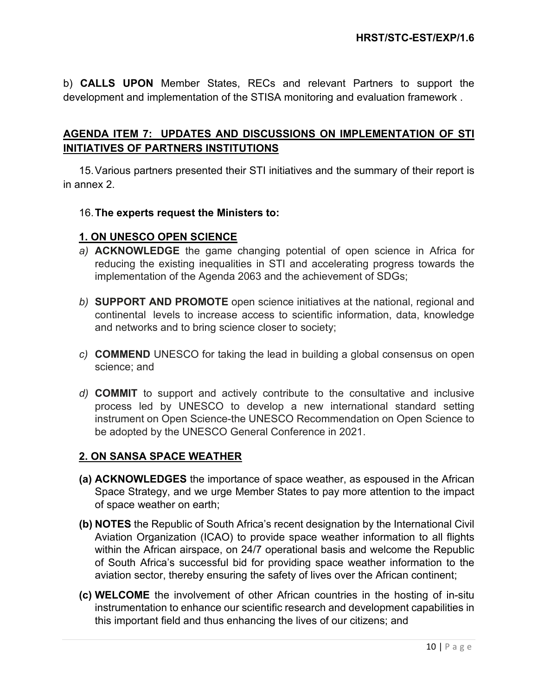b) **CALLS UPON** Member States, RECs and relevant Partners to support the development and implementation of the STISA monitoring and evaluation framework .

## **AGENDA ITEM 7: UPDATES AND DISCUSSIONS ON IMPLEMENTATION OF STI INITIATIVES OF PARTNERS INSTITUTIONS**

15.Various partners presented their STI initiatives and the summary of their report is in annex 2.

### 16.**The experts request the Ministers to:**

### **1. ON UNESCO OPEN SCIENCE**

- *a)* **ACKNOWLEDGE** the game changing potential of open science in Africa for reducing the existing inequalities in STI and accelerating progress towards the implementation of the Agenda 2063 and the achievement of SDGs;
- *b)* **SUPPORT AND PROMOTE** open science initiatives at the national, regional and continental levels to increase access to scientific information, data, knowledge and networks and to bring science closer to society;
- *c)* **COMMEND** UNESCO for taking the lead in building a global consensus on open science; and
- *d)* **COMMIT** to support and actively contribute to the consultative and inclusive process led by UNESCO to develop a new international standard setting instrument on Open Science-the UNESCO Recommendation on Open Science to be adopted by the UNESCO General Conference in 2021.

### **2. ON SANSA SPACE WEATHER**

- **(a) ACKNOWLEDGES** the importance of space weather, as espoused in the African Space Strategy, and we urge Member States to pay more attention to the impact of space weather on earth;
- **(b) NOTES** the Republic of South Africa's recent designation by the International Civil Aviation Organization (ICAO) to provide space weather information to all flights within the African airspace, on 24/7 operational basis and welcome the Republic of South Africa's successful bid for providing space weather information to the aviation sector, thereby ensuring the safety of lives over the African continent;
- **(c) WELCOME** the involvement of other African countries in the hosting of in-situ instrumentation to enhance our scientific research and development capabilities in this important field and thus enhancing the lives of our citizens; and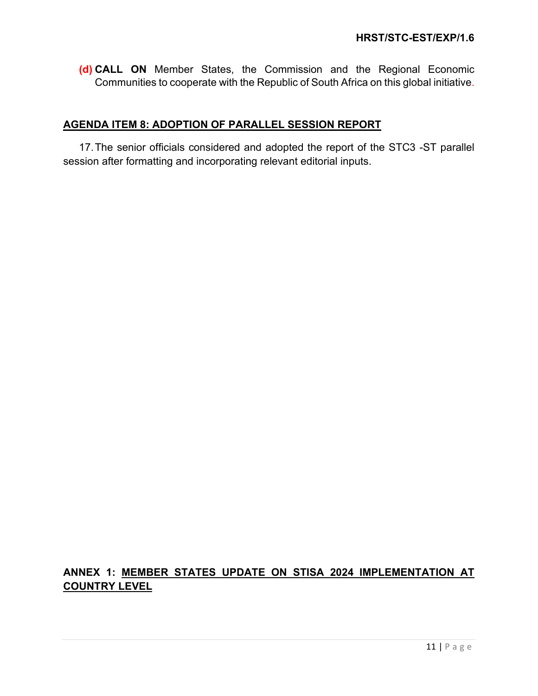**(d) CALL ON** Member States, the Commission and the Regional Economic Communities to cooperate with the Republic of South Africa on this global initiative.

### **AGENDA ITEM 8: ADOPTION OF PARALLEL SESSION REPORT**

17.The senior officials considered and adopted the report of the STC3 -ST parallel session after formatting and incorporating relevant editorial inputs.

# **ANNEX 1: MEMBER STATES UPDATE ON STISA 2024 IMPLEMENTATION AT COUNTRY LEVEL**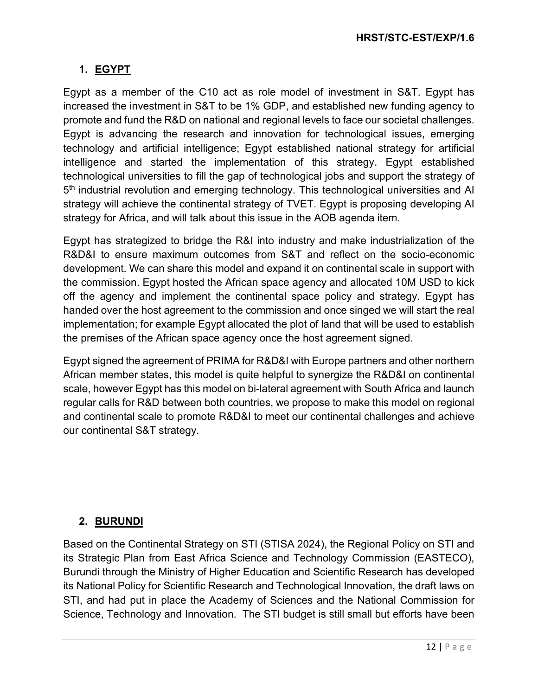# **1. EGYPT**

Egypt as a member of the C10 act as role model of investment in S&T. Egypt has increased the investment in S&T to be 1% GDP, and established new funding agency to promote and fund the R&D on national and regional levels to face our societal challenges. Egypt is advancing the research and innovation for technological issues, emerging technology and artificial intelligence; Egypt established national strategy for artificial intelligence and started the implementation of this strategy. Egypt established technological universities to fill the gap of technological jobs and support the strategy of 5<sup>th</sup> industrial revolution and emerging technology. This technological universities and AI strategy will achieve the continental strategy of TVET. Egypt is proposing developing AI strategy for Africa, and will talk about this issue in the AOB agenda item.

Egypt has strategized to bridge the R&I into industry and make industrialization of the R&D&I to ensure maximum outcomes from S&T and reflect on the socio-economic development. We can share this model and expand it on continental scale in support with the commission. Egypt hosted the African space agency and allocated 10M USD to kick off the agency and implement the continental space policy and strategy. Egypt has handed over the host agreement to the commission and once singed we will start the real implementation; for example Egypt allocated the plot of land that will be used to establish the premises of the African space agency once the host agreement signed.

Egypt signed the agreement of PRIMA for R&D&I with Europe partners and other northern African member states, this model is quite helpful to synergize the R&D&I on continental scale, however Egypt has this model on bi-lateral agreement with South Africa and launch regular calls for R&D between both countries, we propose to make this model on regional and continental scale to promote R&D&I to meet our continental challenges and achieve our continental S&T strategy.

## **2. BURUNDI**

Based on the Continental Strategy on STI (STISA 2024), the Regional Policy on STI and its Strategic Plan from East Africa Science and Technology Commission (EASTECO), Burundi through the Ministry of Higher Education and Scientific Research has developed its National Policy for Scientific Research and Technological Innovation, the draft laws on STI, and had put in place the Academy of Sciences and the National Commission for Science, Technology and Innovation. The STI budget is still small but efforts have been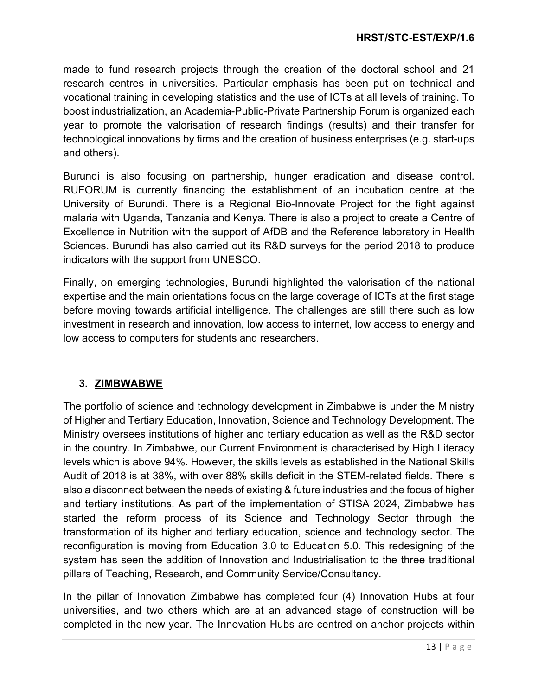made to fund research projects through the creation of the doctoral school and 21 research centres in universities. Particular emphasis has been put on technical and vocational training in developing statistics and the use of ICTs at all levels of training. To boost industrialization, an Academia-Public-Private Partnership Forum is organized each year to promote the valorisation of research findings (results) and their transfer for technological innovations by firms and the creation of business enterprises (e.g. start-ups and others).

Burundi is also focusing on partnership, hunger eradication and disease control. RUFORUM is currently financing the establishment of an incubation centre at the University of Burundi. There is a Regional Bio-Innovate Project for the fight against malaria with Uganda, Tanzania and Kenya. There is also a project to create a Centre of Excellence in Nutrition with the support of AfDB and the Reference laboratory in Health Sciences. Burundi has also carried out its R&D surveys for the period 2018 to produce indicators with the support from UNESCO.

Finally, on emerging technologies, Burundi highlighted the valorisation of the national expertise and the main orientations focus on the large coverage of ICTs at the first stage before moving towards artificial intelligence. The challenges are still there such as low investment in research and innovation, low access to internet, low access to energy and low access to computers for students and researchers.

# **3. ZIMBWABWE**

The portfolio of science and technology development in Zimbabwe is under the Ministry of Higher and Tertiary Education, Innovation, Science and Technology Development. The Ministry oversees institutions of higher and tertiary education as well as the R&D sector in the country. In Zimbabwe, our Current Environment is characterised by High Literacy levels which is above 94%. However, the skills levels as established in the National Skills Audit of 2018 is at 38%, with over 88% skills deficit in the STEM-related fields. There is also a disconnect between the needs of existing & future industries and the focus of higher and tertiary institutions. As part of the implementation of STISA 2024, Zimbabwe has started the reform process of its Science and Technology Sector through the transformation of its higher and tertiary education, science and technology sector. The reconfiguration is moving from Education 3.0 to Education 5.0. This redesigning of the system has seen the addition of Innovation and Industrialisation to the three traditional pillars of Teaching, Research, and Community Service/Consultancy.

In the pillar of Innovation Zimbabwe has completed four (4) Innovation Hubs at four universities, and two others which are at an advanced stage of construction will be completed in the new year. The Innovation Hubs are centred on anchor projects within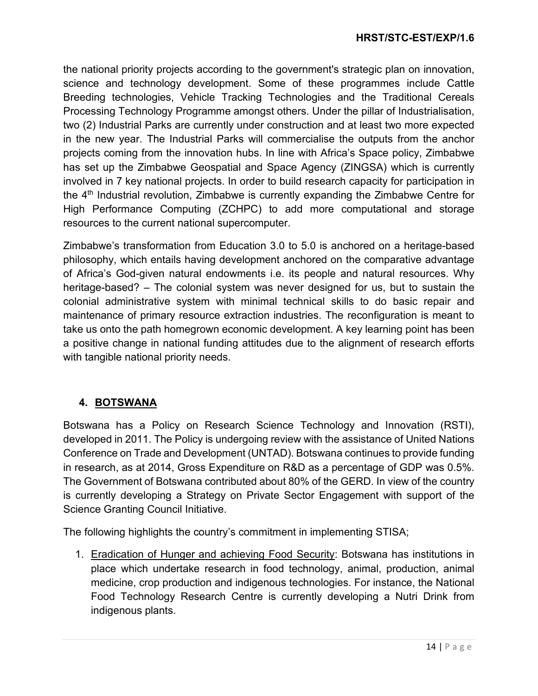the national priority projects according to the government's strategic plan on innovation, science and technology development. Some of these programmes include Cattle Breeding technologies, Vehicle Tracking Technologies and the Traditional Cereals Processing Technology Programme amongst others. Under the pillar of Industrialisation, two (2) Industrial Parks are currently under construction and at least two more expected in the new year. The Industrial Parks will commercialise the outputs from the anchor projects coming from the innovation hubs. In line with Africa's Space policy, Zimbabwe has set up the Zimbabwe Geospatial and Space Agency (ZINGSA) which is currently involved in 7 key national projects. In order to build research capacity for participation in the 4<sup>th</sup> Industrial revolution, Zimbabwe is currently expanding the Zimbabwe Centre for High Performance Computing (ZCHPC) to add more computational and storage resources to the current national supercomputer.

Zimbabwe's transformation from Education 3.0 to 5.0 is anchored on a heritage-based philosophy, which entails having development anchored on the comparative advantage of Africa's God-given natural endowments i.e. its people and natural resources. Why heritage-based? – The colonial system was never designed for us, but to sustain the colonial administrative system with minimal technical skills to do basic repair and maintenance of primary resource extraction industries. The reconfiguration is meant to take us onto the path homegrown economic development. A key learning point has been a positive change in national funding attitudes due to the alignment of research efforts with tangible national priority needs.

## **4. BOTSWANA**

Botswana has a Policy on Research Science Technology and Innovation (RSTI), developed in 2011. The Policy is undergoing review with the assistance of United Nations Conference on Trade and Development (UNTAD). Botswana continues to provide funding in research, as at 2014, Gross Expenditure on R&D as a percentage of GDP was 0.5%. The Government of Botswana contributed about 80% of the GERD. In view of the country is currently developing a Strategy on Private Sector Engagement with support of the Science Granting Council Initiative.

The following highlights the country's commitment in implementing STISA;

1. Eradication of Hunger and achieving Food Security: Botswana has institutions in place which undertake research in food technology, animal, production, animal medicine, crop production and indigenous technologies. For instance, the National Food Technology Research Centre is currently developing a Nutri Drink from indigenous plants.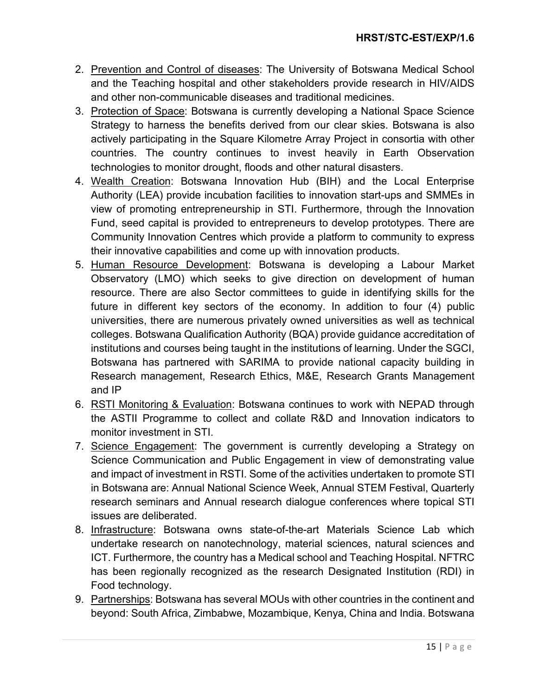- 2. Prevention and Control of diseases: The University of Botswana Medical School and the Teaching hospital and other stakeholders provide research in HIV/AIDS and other non-communicable diseases and traditional medicines.
- 3. Protection of Space: Botswana is currently developing a National Space Science Strategy to harness the benefits derived from our clear skies. Botswana is also actively participating in the Square Kilometre Array Project in consortia with other countries. The country continues to invest heavily in Earth Observation technologies to monitor drought, floods and other natural disasters.
- 4. Wealth Creation: Botswana Innovation Hub (BIH) and the Local Enterprise Authority (LEA) provide incubation facilities to innovation start-ups and SMMEs in view of promoting entrepreneurship in STI. Furthermore, through the Innovation Fund, seed capital is provided to entrepreneurs to develop prototypes. There are Community Innovation Centres which provide a platform to community to express their innovative capabilities and come up with innovation products.
- 5. Human Resource Development: Botswana is developing a Labour Market Observatory (LMO) which seeks to give direction on development of human resource. There are also Sector committees to guide in identifying skills for the future in different key sectors of the economy. In addition to four (4) public universities, there are numerous privately owned universities as well as technical colleges. Botswana Qualification Authority (BQA) provide guidance accreditation of institutions and courses being taught in the institutions of learning. Under the SGCI, Botswana has partnered with SARIMA to provide national capacity building in Research management, Research Ethics, M&E, Research Grants Management and IP
- 6. RSTI Monitoring & Evaluation: Botswana continues to work with NEPAD through the ASTII Programme to collect and collate R&D and Innovation indicators to monitor investment in STI.
- 7. Science Engagement: The government is currently developing a Strategy on Science Communication and Public Engagement in view of demonstrating value and impact of investment in RSTI. Some of the activities undertaken to promote STI in Botswana are: Annual National Science Week, Annual STEM Festival, Quarterly research seminars and Annual research dialogue conferences where topical STI issues are deliberated.
- 8. Infrastructure: Botswana owns state-of-the-art Materials Science Lab which undertake research on nanotechnology, material sciences, natural sciences and ICT. Furthermore, the country has a Medical school and Teaching Hospital. NFTRC has been regionally recognized as the research Designated Institution (RDI) in Food technology.
- 9. Partnerships: Botswana has several MOUs with other countries in the continent and beyond: South Africa, Zimbabwe, Mozambique, Kenya, China and India. Botswana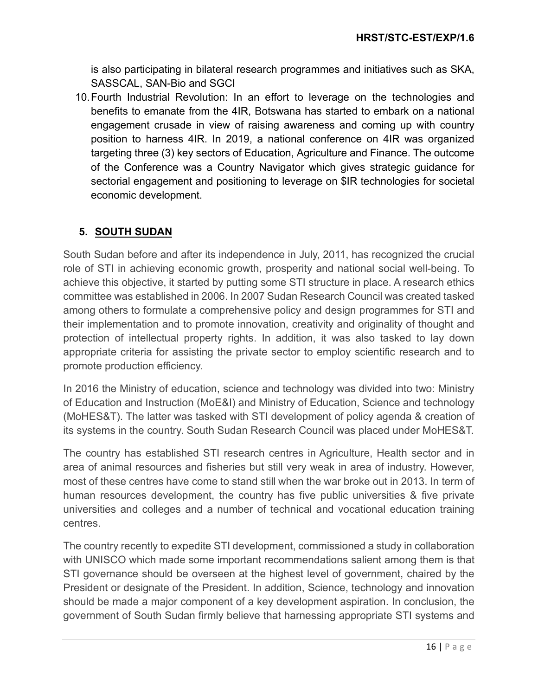is also participating in bilateral research programmes and initiatives such as SKA, SASSCAL, SAN-Bio and SGCI

10.Fourth Industrial Revolution: In an effort to leverage on the technologies and benefits to emanate from the 4IR, Botswana has started to embark on a national engagement crusade in view of raising awareness and coming up with country position to harness 4IR. In 2019, a national conference on 4IR was organized targeting three (3) key sectors of Education, Agriculture and Finance. The outcome of the Conference was a Country Navigator which gives strategic guidance for sectorial engagement and positioning to leverage on \$IR technologies for societal economic development.

# **5. SOUTH SUDAN**

South Sudan before and after its independence in July, 2011, has recognized the crucial role of STI in achieving economic growth, prosperity and national social well-being. To achieve this objective, it started by putting some STI structure in place. A research ethics committee was established in 2006. In 2007 Sudan Research Council was created tasked among others to formulate a comprehensive policy and design programmes for STI and their implementation and to promote innovation, creativity and originality of thought and protection of intellectual property rights. In addition, it was also tasked to lay down appropriate criteria for assisting the private sector to employ scientific research and to promote production efficiency.

In 2016 the Ministry of education, science and technology was divided into two: Ministry of Education and Instruction (MoE&I) and Ministry of Education, Science and technology (MoHES&T). The latter was tasked with STI development of policy agenda & creation of its systems in the country. South Sudan Research Council was placed under MoHES&T.

The country has established STI research centres in Agriculture, Health sector and in area of animal resources and fisheries but still very weak in area of industry. However, most of these centres have come to stand still when the war broke out in 2013. In term of human resources development, the country has five public universities & five private universities and colleges and a number of technical and vocational education training centres.

The country recently to expedite STI development, commissioned a study in collaboration with UNISCO which made some important recommendations salient among them is that STI governance should be overseen at the highest level of government, chaired by the President or designate of the President. In addition, Science, technology and innovation should be made a major component of a key development aspiration. In conclusion, the government of South Sudan firmly believe that harnessing appropriate STI systems and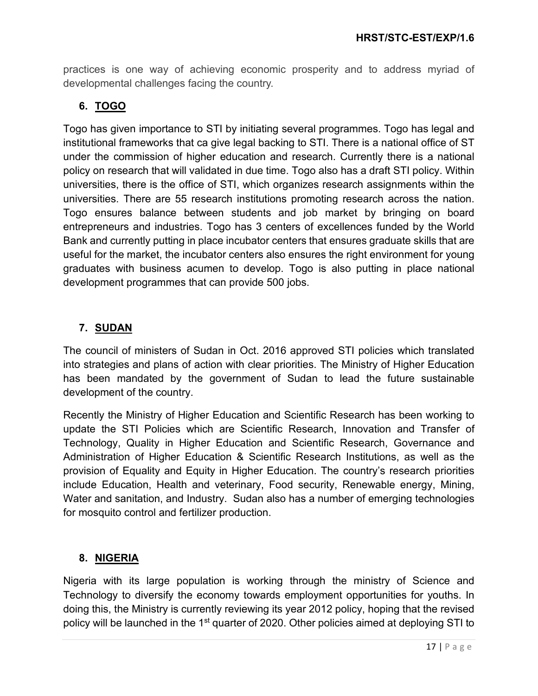practices is one way of achieving economic prosperity and to address myriad of developmental challenges facing the country.

# **6. TOGO**

Togo has given importance to STI by initiating several programmes. Togo has legal and institutional frameworks that ca give legal backing to STI. There is a national office of ST under the commission of higher education and research. Currently there is a national policy on research that will validated in due time. Togo also has a draft STI policy. Within universities, there is the office of STI, which organizes research assignments within the universities. There are 55 research institutions promoting research across the nation. Togo ensures balance between students and job market by bringing on board entrepreneurs and industries. Togo has 3 centers of excellences funded by the World Bank and currently putting in place incubator centers that ensures graduate skills that are useful for the market, the incubator centers also ensures the right environment for young graduates with business acumen to develop. Togo is also putting in place national development programmes that can provide 500 jobs.

# **7. SUDAN**

The council of ministers of Sudan in Oct. 2016 approved STI policies which translated into strategies and plans of action with clear priorities. The Ministry of Higher Education has been mandated by the government of Sudan to lead the future sustainable development of the country.

Recently the Ministry of Higher Education and Scientific Research has been working to update the STI Policies which are Scientific Research, Innovation and Transfer of Technology, Quality in Higher Education and Scientific Research, Governance and Administration of Higher Education & Scientific Research Institutions, as well as the provision of Equality and Equity in Higher Education. The country's research priorities include Education, Health and veterinary, Food security, Renewable energy, Mining, Water and sanitation, and Industry. Sudan also has a number of emerging technologies for mosquito control and fertilizer production.

## **8. NIGERIA**

Nigeria with its large population is working through the ministry of Science and Technology to diversify the economy towards employment opportunities for youths. In doing this, the Ministry is currently reviewing its year 2012 policy, hoping that the revised policy will be launched in the 1<sup>st</sup> quarter of 2020. Other policies aimed at deploying STI to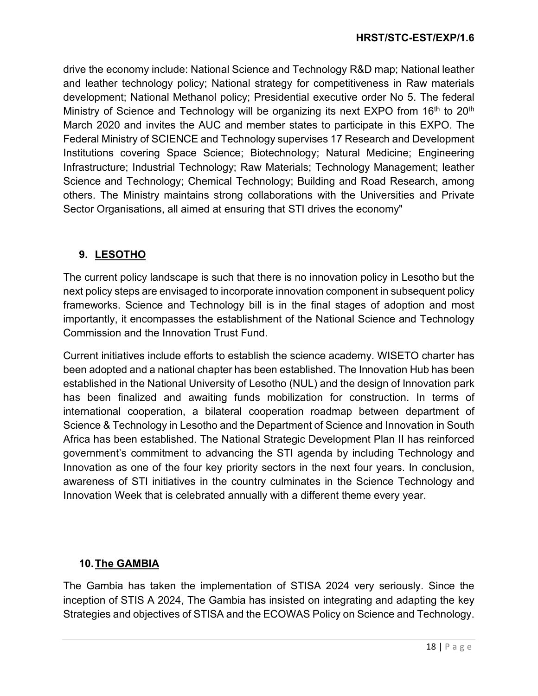drive the economy include: National Science and Technology R&D map; National leather and leather technology policy; National strategy for competitiveness in Raw materials development; National Methanol policy; Presidential executive order No 5. The federal Ministry of Science and Technology will be organizing its next EXPO from 16<sup>th</sup> to 20<sup>th</sup> March 2020 and invites the AUC and member states to participate in this EXPO. The Federal Ministry of SCIENCE and Technology supervises 17 Research and Development Institutions covering Space Science; Biotechnology; Natural Medicine; Engineering Infrastructure; Industrial Technology; Raw Materials; Technology Management; leather Science and Technology; Chemical Technology; Building and Road Research, among others. The Ministry maintains strong collaborations with the Universities and Private Sector Organisations, all aimed at ensuring that STI drives the economy"

## **9. LESOTHO**

The current policy landscape is such that there is no innovation policy in Lesotho but the next policy steps are envisaged to incorporate innovation component in subsequent policy frameworks. Science and Technology bill is in the final stages of adoption and most importantly, it encompasses the establishment of the National Science and Technology Commission and the Innovation Trust Fund.

Current initiatives include efforts to establish the science academy. WISETO charter has been adopted and a national chapter has been established. The Innovation Hub has been established in the National University of Lesotho (NUL) and the design of Innovation park has been finalized and awaiting funds mobilization for construction. In terms of international cooperation, a bilateral cooperation roadmap between department of Science & Technology in Lesotho and the Department of Science and Innovation in South Africa has been established. The National Strategic Development Plan II has reinforced government's commitment to advancing the STI agenda by including Technology and Innovation as one of the four key priority sectors in the next four years. In conclusion, awareness of STI initiatives in the country culminates in the Science Technology and Innovation Week that is celebrated annually with a different theme every year.

## **10.The GAMBIA**

The Gambia has taken the implementation of STISA 2024 very seriously. Since the inception of STIS A 2024, The Gambia has insisted on integrating and adapting the key Strategies and objectives of STISA and the ECOWAS Policy on Science and Technology.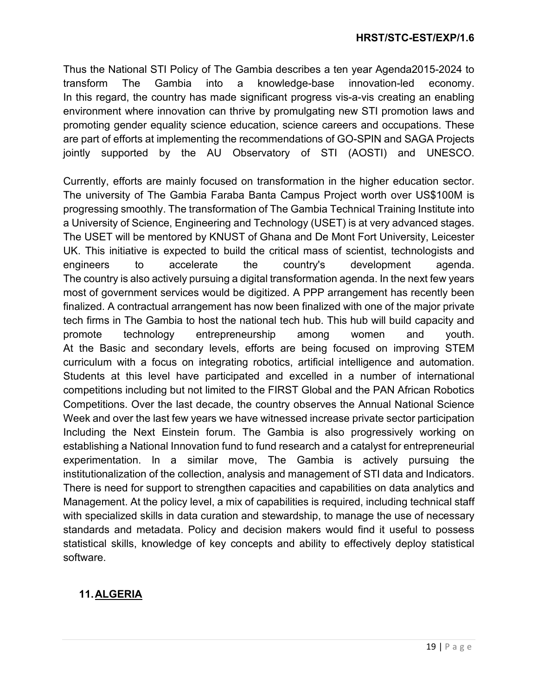Thus the National STI Policy of The Gambia describes a ten year Agenda2015-2024 to transform The Gambia into a knowledge-base innovation-led economy. In this regard, the country has made significant progress vis-a-vis creating an enabling environment where innovation can thrive by promulgating new STI promotion laws and promoting gender equality science education, science careers and occupations. These are part of efforts at implementing the recommendations of GO-SPIN and SAGA Projects jointly supported by the AU Observatory of STI (AOSTI) and UNESCO.

Currently, efforts are mainly focused on transformation in the higher education sector. The university of The Gambia Faraba Banta Campus Project worth over US\$100M is progressing smoothly. The transformation of The Gambia Technical Training Institute into a University of Science, Engineering and Technology (USET) is at very advanced stages. The USET will be mentored by KNUST of Ghana and De Mont Fort University, Leicester UK. This initiative is expected to build the critical mass of scientist, technologists and engineers to accelerate the country's development agenda. The country is also actively pursuing a digital transformation agenda. In the next few years most of government services would be digitized. A PPP arrangement has recently been finalized. A contractual arrangement has now been finalized with one of the major private tech firms in The Gambia to host the national tech hub. This hub will build capacity and promote technology entrepreneurship among women and youth. At the Basic and secondary levels, efforts are being focused on improving STEM curriculum with a focus on integrating robotics, artificial intelligence and automation. Students at this level have participated and excelled in a number of international competitions including but not limited to the FIRST Global and the PAN African Robotics Competitions. Over the last decade, the country observes the Annual National Science Week and over the last few years we have witnessed increase private sector participation Including the Next Einstein forum. The Gambia is also progressively working on establishing a National Innovation fund to fund research and a catalyst for entrepreneurial experimentation. ln a similar move, The Gambia is actively pursuing the institutionalization of the collection, analysis and management of STI data and Indicators. There is need for support to strengthen capacities and capabilities on data analytics and Management. At the policy level, a mix of capabilities is required, including technical staff with specialized skills in data curation and stewardship, to manage the use of necessary standards and metadata. Policy and decision makers would find it useful to possess statistical skills, knowledge of key concepts and ability to effectively deploy statistical software.

# **11.ALGERIA**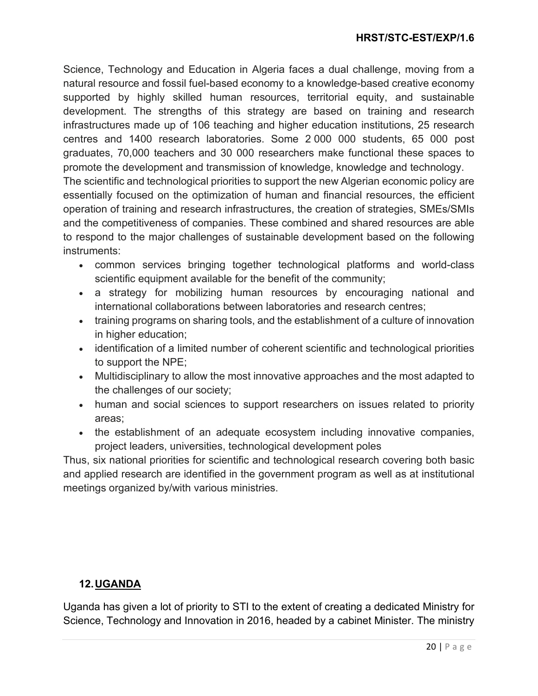Science, Technology and Education in Algeria faces a dual challenge, moving from a natural resource and fossil fuel-based economy to a knowledge-based creative economy supported by highly skilled human resources, territorial equity, and sustainable development. The strengths of this strategy are based on training and research infrastructures made up of 106 teaching and higher education institutions, 25 research centres and 1400 research laboratories. Some 2 000 000 students, 65 000 post graduates, 70,000 teachers and 30 000 researchers make functional these spaces to promote the development and transmission of knowledge, knowledge and technology.

The scientific and technological priorities to support the new Algerian economic policy are essentially focused on the optimization of human and financial resources, the efficient operation of training and research infrastructures, the creation of strategies, SMEs/SMIs and the competitiveness of companies. These combined and shared resources are able to respond to the major challenges of sustainable development based on the following instruments:

- common services bringing together technological platforms and world-class scientific equipment available for the benefit of the community;
- a strategy for mobilizing human resources by encouraging national and international collaborations between laboratories and research centres;
- training programs on sharing tools, and the establishment of a culture of innovation in higher education;
- identification of a limited number of coherent scientific and technological priorities to support the NPE;
- Multidisciplinary to allow the most innovative approaches and the most adapted to the challenges of our society;
- human and social sciences to support researchers on issues related to priority areas;
- the establishment of an adequate ecosystem including innovative companies, project leaders, universities, technological development poles

Thus, six national priorities for scientific and technological research covering both basic and applied research are identified in the government program as well as at institutional meetings organized by/with various ministries.

# **12.UGANDA**

Uganda has given a lot of priority to STI to the extent of creating a dedicated Ministry for Science, Technology and Innovation in 2016, headed by a cabinet Minister. The ministry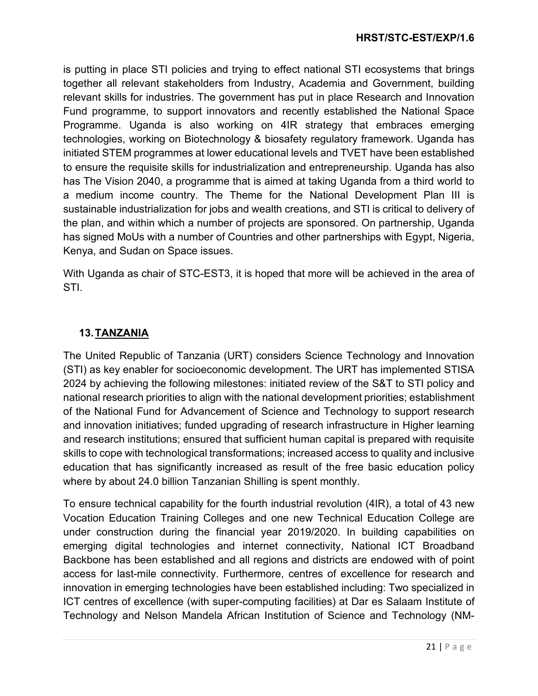is putting in place STI policies and trying to effect national STI ecosystems that brings together all relevant stakeholders from Industry, Academia and Government, building relevant skills for industries. The government has put in place Research and Innovation Fund programme, to support innovators and recently established the National Space Programme. Uganda is also working on 4IR strategy that embraces emerging technologies, working on Biotechnology & biosafety regulatory framework. Uganda has initiated STEM programmes at lower educational levels and TVET have been established to ensure the requisite skills for industrialization and entrepreneurship. Uganda has also has The Vision 2040, a programme that is aimed at taking Uganda from a third world to a medium income country. The Theme for the National Development Plan III is sustainable industrialization for jobs and wealth creations, and STI is critical to delivery of the plan, and within which a number of projects are sponsored. On partnership, Uganda has signed MoUs with a number of Countries and other partnerships with Egypt, Nigeria, Kenya, and Sudan on Space issues.

With Uganda as chair of STC-EST3, it is hoped that more will be achieved in the area of STI.

# **13.TANZANIA**

The United Republic of Tanzania (URT) considers Science Technology and Innovation (STI) as key enabler for socioeconomic development. The URT has implemented STISA 2024 by achieving the following milestones: initiated review of the S&T to STI policy and national research priorities to align with the national development priorities; establishment of the National Fund for Advancement of Science and Technology to support research and innovation initiatives; funded upgrading of research infrastructure in Higher learning and research institutions; ensured that sufficient human capital is prepared with requisite skills to cope with technological transformations; increased access to quality and inclusive education that has significantly increased as result of the free basic education policy where by about 24.0 billion Tanzanian Shilling is spent monthly.

To ensure technical capability for the fourth industrial revolution (4IR), a total of 43 new Vocation Education Training Colleges and one new Technical Education College are under construction during the financial year 2019/2020. In building capabilities on emerging digital technologies and internet connectivity, National ICT Broadband Backbone has been established and all regions and districts are endowed with of point access for last-mile connectivity. Furthermore, centres of excellence for research and innovation in emerging technologies have been established including: Two specialized in ICT centres of excellence (with super-computing facilities) at Dar es Salaam Institute of Technology and Nelson Mandela African Institution of Science and Technology (NM-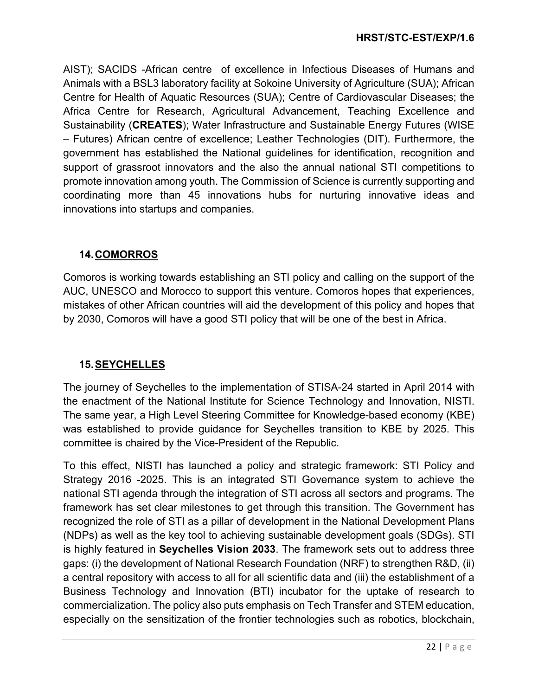AIST); SACIDS -African centre of excellence in Infectious Diseases of Humans and Animals with a BSL3 laboratory facility at Sokoine University of Agriculture (SUA); African Centre for Health of Aquatic Resources (SUA); Centre of Cardiovascular Diseases; the Africa Centre for Research, Agricultural Advancement, Teaching Excellence and Sustainability (**CREATES**); Water Infrastructure and Sustainable Energy Futures (WISE – Futures) African centre of excellence; Leather Technologies (DIT). Furthermore, the government has established the National guidelines for identification, recognition and support of grassroot innovators and the also the annual national STI competitions to promote innovation among youth. The Commission of Science is currently supporting and coordinating more than 45 innovations hubs for nurturing innovative ideas and innovations into startups and companies.

### **14.COMORROS**

Comoros is working towards establishing an STI policy and calling on the support of the AUC, UNESCO and Morocco to support this venture. Comoros hopes that experiences, mistakes of other African countries will aid the development of this policy and hopes that by 2030, Comoros will have a good STI policy that will be one of the best in Africa.

## **15.SEYCHELLES**

The journey of Seychelles to the implementation of STISA-24 started in April 2014 with the enactment of the National Institute for Science Technology and Innovation, NISTI. The same year, a High Level Steering Committee for Knowledge-based economy (KBE) was established to provide guidance for Seychelles transition to KBE by 2025. This committee is chaired by the Vice-President of the Republic.

To this effect, NISTI has launched a policy and strategic framework: STI Policy and Strategy 2016 -2025. This is an integrated STI Governance system to achieve the national STI agenda through the integration of STI across all sectors and programs. The framework has set clear milestones to get through this transition. The Government has recognized the role of STI as a pillar of development in the National Development Plans (NDPs) as well as the key tool to achieving sustainable development goals (SDGs). STI is highly featured in **Seychelles Vision 2033**. The framework sets out to address three gaps: (i) the development of National Research Foundation (NRF) to strengthen R&D, (ii) a central repository with access to all for all scientific data and (iii) the establishment of a Business Technology and Innovation (BTI) incubator for the uptake of research to commercialization. The policy also puts emphasis on Tech Transfer and STEM education, especially on the sensitization of the frontier technologies such as robotics, blockchain,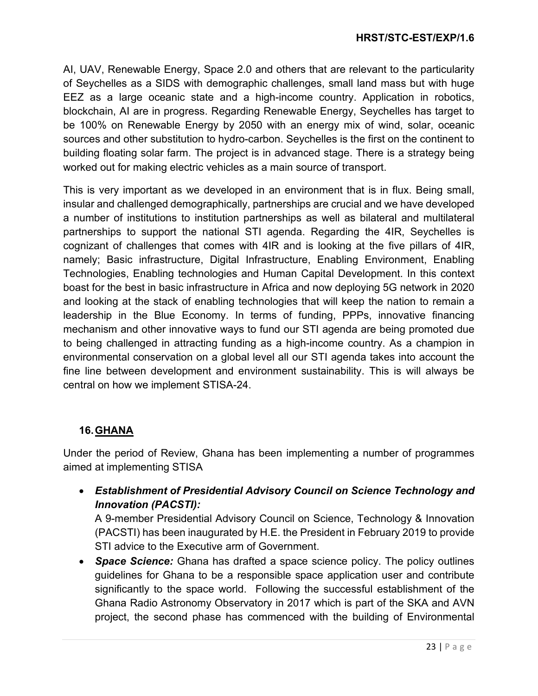AI, UAV, Renewable Energy, Space 2.0 and others that are relevant to the particularity of Seychelles as a SIDS with demographic challenges, small land mass but with huge EEZ as a large oceanic state and a high-income country. Application in robotics, blockchain, AI are in progress. Regarding Renewable Energy, Seychelles has target to be 100% on Renewable Energy by 2050 with an energy mix of wind, solar, oceanic sources and other substitution to hydro-carbon. Seychelles is the first on the continent to building floating solar farm. The project is in advanced stage. There is a strategy being worked out for making electric vehicles as a main source of transport.

This is very important as we developed in an environment that is in flux. Being small, insular and challenged demographically, partnerships are crucial and we have developed a number of institutions to institution partnerships as well as bilateral and multilateral partnerships to support the national STI agenda. Regarding the 4IR, Seychelles is cognizant of challenges that comes with 4IR and is looking at the five pillars of 4IR, namely; Basic infrastructure, Digital Infrastructure, Enabling Environment, Enabling Technologies, Enabling technologies and Human Capital Development. In this context boast for the best in basic infrastructure in Africa and now deploying 5G network in 2020 and looking at the stack of enabling technologies that will keep the nation to remain a leadership in the Blue Economy. In terms of funding, PPPs, innovative financing mechanism and other innovative ways to fund our STI agenda are being promoted due to being challenged in attracting funding as a high-income country. As a champion in environmental conservation on a global level all our STI agenda takes into account the fine line between development and environment sustainability. This is will always be central on how we implement STISA-24.

## **16.GHANA**

Under the period of Review, Ghana has been implementing a number of programmes aimed at implementing STISA

• *Establishment of Presidential Advisory Council on Science Technology and Innovation (PACSTI):*

A 9-member Presidential Advisory Council on Science, Technology & Innovation (PACSTI) has been inaugurated by H.E. the President in February 2019 to provide STI advice to the Executive arm of Government.

• *Space Science:* Ghana has drafted a space science policy. The policy outlines guidelines for Ghana to be a responsible space application user and contribute significantly to the space world. Following the successful establishment of the Ghana Radio Astronomy Observatory in 2017 which is part of the SKA and AVN project, the second phase has commenced with the building of Environmental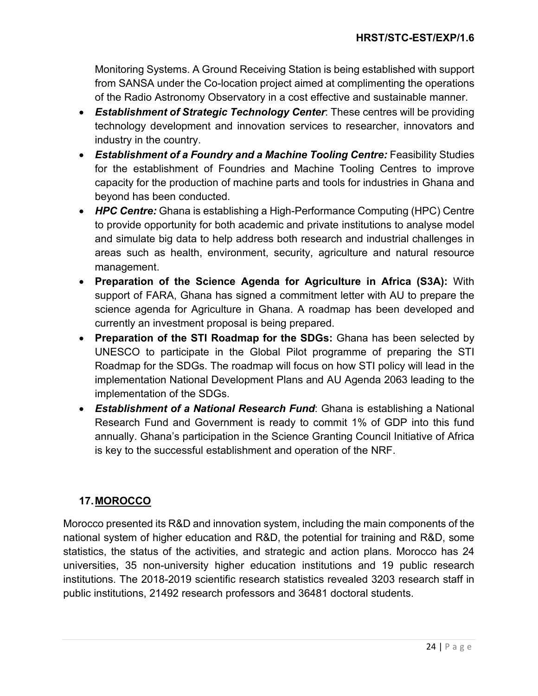Monitoring Systems. A Ground Receiving Station is being established with support from SANSA under the Co-location project aimed at complimenting the operations of the Radio Astronomy Observatory in a cost effective and sustainable manner.

- *Establishment of Strategic Technology Center*: These centres will be providing technology development and innovation services to researcher, innovators and industry in the country.
- **Establishment of a Foundry and a Machine Tooling Centre:** Feasibility Studies for the establishment of Foundries and Machine Tooling Centres to improve capacity for the production of machine parts and tools for industries in Ghana and beyond has been conducted.
- *HPC Centre:* Ghana is establishing a High-Performance Computing (HPC) Centre to provide opportunity for both academic and private institutions to analyse model and simulate big data to help address both research and industrial challenges in areas such as health, environment, security, agriculture and natural resource management.
- **Preparation of the Science Agenda for Agriculture in Africa (S3A):** With support of FARA, Ghana has signed a commitment letter with AU to prepare the science agenda for Agriculture in Ghana. A roadmap has been developed and currently an investment proposal is being prepared.
- **Preparation of the STI Roadmap for the SDGs:** Ghana has been selected by UNESCO to participate in the Global Pilot programme of preparing the STI Roadmap for the SDGs. The roadmap will focus on how STI policy will lead in the implementation National Development Plans and AU Agenda 2063 leading to the implementation of the SDGs.
- *Establishment of a National Research Fund*: Ghana is establishing a National Research Fund and Government is ready to commit 1% of GDP into this fund annually. Ghana's participation in the Science Granting Council Initiative of Africa is key to the successful establishment and operation of the NRF.

## **17.MOROCCO**

Morocco presented its R&D and innovation system, including the main components of the national system of higher education and R&D, the potential for training and R&D, some statistics, the status of the activities, and strategic and action plans. Morocco has 24 universities, 35 non-university higher education institutions and 19 public research institutions. The 2018-2019 scientific research statistics revealed 3203 research staff in public institutions, 21492 research professors and 36481 doctoral students.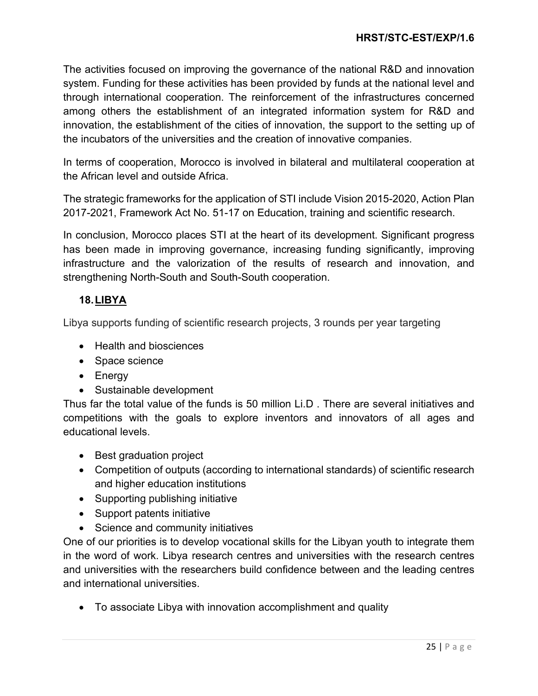The activities focused on improving the governance of the national R&D and innovation system. Funding for these activities has been provided by funds at the national level and through international cooperation. The reinforcement of the infrastructures concerned among others the establishment of an integrated information system for R&D and innovation, the establishment of the cities of innovation, the support to the setting up of the incubators of the universities and the creation of innovative companies.

In terms of cooperation, Morocco is involved in bilateral and multilateral cooperation at the African level and outside Africa.

The strategic frameworks for the application of STI include Vision 2015-2020, Action Plan 2017-2021, Framework Act No. 51-17 on Education, training and scientific research.

In conclusion, Morocco places STI at the heart of its development. Significant progress has been made in improving governance, increasing funding significantly, improving infrastructure and the valorization of the results of research and innovation, and strengthening North-South and South-South cooperation.

## **18.LIBYA**

Libya supports funding of scientific research projects, 3 rounds per year targeting

- Health and biosciences
- Space science
- Energy
- Sustainable development

Thus far the total value of the funds is 50 million Li.D . There are several initiatives and competitions with the goals to explore inventors and innovators of all ages and educational levels.

- Best graduation project
- Competition of outputs (according to international standards) of scientific research and higher education institutions
- Supporting publishing initiative
- Support patents initiative
- Science and community initiatives

One of our priorities is to develop vocational skills for the Libyan youth to integrate them in the word of work. Libya research centres and universities with the research centres and universities with the researchers build confidence between and the leading centres and international universities.

• To associate Libya with innovation accomplishment and quality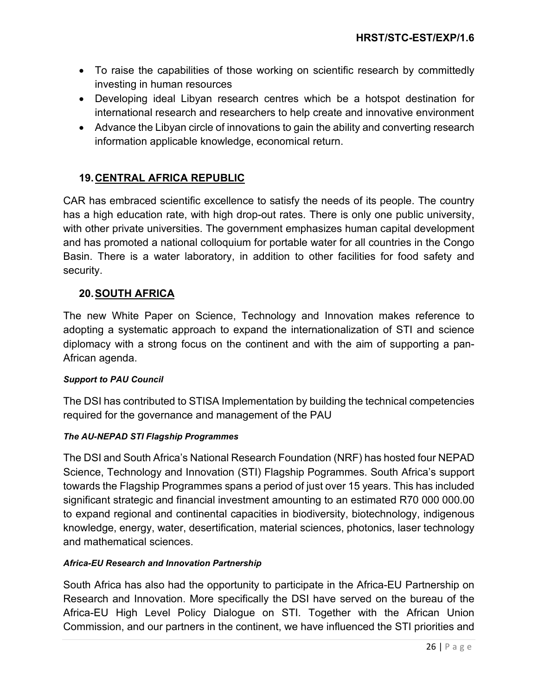- To raise the capabilities of those working on scientific research by committedly investing in human resources
- Developing ideal Libyan research centres which be a hotspot destination for international research and researchers to help create and innovative environment
- Advance the Libyan circle of innovations to gain the ability and converting research information applicable knowledge, economical return.

# **19.CENTRAL AFRICA REPUBLIC**

CAR has embraced scientific excellence to satisfy the needs of its people. The country has a high education rate, with high drop-out rates. There is only one public university, with other private universities. The government emphasizes human capital development and has promoted a national colloquium for portable water for all countries in the Congo Basin. There is a water laboratory, in addition to other facilities for food safety and security.

## **20.SOUTH AFRICA**

The new White Paper on Science, Technology and Innovation makes reference to adopting a systematic approach to expand the internationalization of STI and science diplomacy with a strong focus on the continent and with the aim of supporting a pan-African agenda.

### *Support to PAU Council*

The DSI has contributed to STISA Implementation by building the technical competencies required for the governance and management of the PAU

## *The AU-NEPAD STI Flagship Programmes*

The DSI and South Africa's National Research Foundation (NRF) has hosted four NEPAD Science, Technology and Innovation (STI) Flagship Pogrammes. South Africa's support towards the Flagship Programmes spans a period of just over 15 years. This has included significant strategic and financial investment amounting to an estimated R70 000 000.00 to expand regional and continental capacities in biodiversity, biotechnology, indigenous knowledge, energy, water, desertification, material sciences, photonics, laser technology and mathematical sciences.

### *Africa-EU Research and Innovation Partnership*

South Africa has also had the opportunity to participate in the Africa-EU Partnership on Research and Innovation. More specifically the DSI have served on the bureau of the Africa-EU High Level Policy Dialogue on STI. Together with the African Union Commission, and our partners in the continent, we have influenced the STI priorities and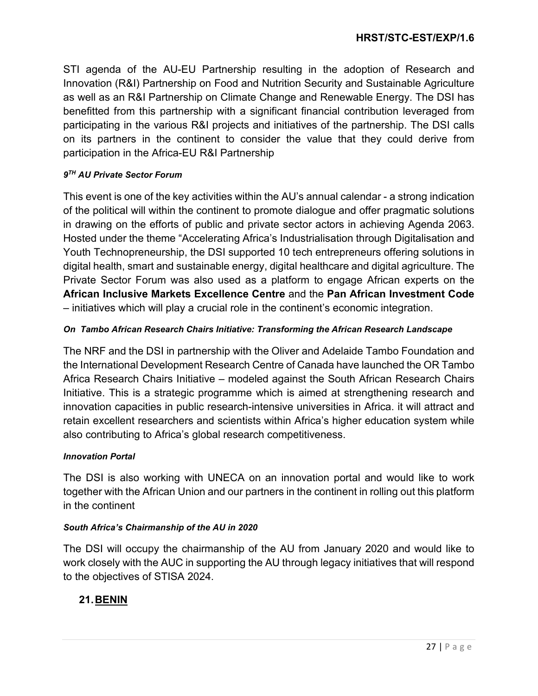STI agenda of the AU-EU Partnership resulting in the adoption of Research and Innovation (R&I) Partnership on Food and Nutrition Security and Sustainable Agriculture as well as an R&I Partnership on Climate Change and Renewable Energy. The DSI has benefitted from this partnership with a significant financial contribution leveraged from participating in the various R&I projects and initiatives of the partnership. The DSI calls on its partners in the continent to consider the value that they could derive from participation in the Africa-EU R&I Partnership

### *9TH AU Private Sector Forum*

This event is one of the key activities within the AU's annual calendar - a strong indication of the political will within the continent to promote dialogue and offer pragmatic solutions in drawing on the efforts of public and private sector actors in achieving Agenda 2063. Hosted under the theme "Accelerating Africa's Industrialisation through Digitalisation and Youth Technopreneurship, the DSI supported 10 tech entrepreneurs offering solutions in digital health, smart and sustainable energy, digital healthcare and digital agriculture. The Private Sector Forum was also used as a platform to engage African experts on the **African Inclusive Markets Excellence Centre** and the **Pan African Investment Code** – initiatives which will play a crucial role in the continent's economic integration.

### *On Tambo African Research Chairs Initiative: Transforming the African Research Landscape*

The NRF and the DSI in partnership with the Oliver and Adelaide Tambo Foundation and the International Development Research Centre of Canada have launched the OR Tambo Africa Research Chairs Initiative – modeled against the South African Research Chairs Initiative. This is a strategic programme which is aimed at strengthening research and innovation capacities in public research-intensive universities in Africa. it will attract and retain excellent researchers and scientists within Africa's higher education system while also contributing to Africa's global research competitiveness.

### *Innovation Portal*

The DSI is also working with UNECA on an innovation portal and would like to work together with the African Union and our partners in the continent in rolling out this platform in the continent

### *South Africa's Chairmanship of the AU in 2020*

The DSI will occupy the chairmanship of the AU from January 2020 and would like to work closely with the AUC in supporting the AU through legacy initiatives that will respond to the objectives of STISA 2024.

## **21.BENIN**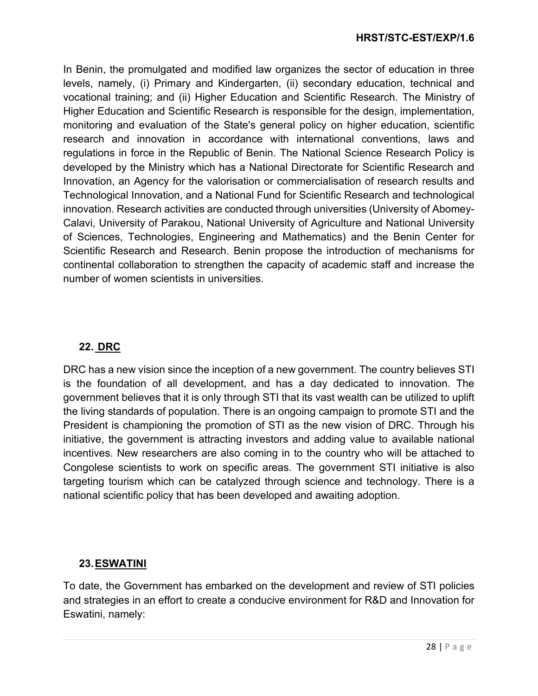In Benin, the promulgated and modified law organizes the sector of education in three levels, namely, (i) Primary and Kindergarten, (ii) secondary education, technical and vocational training; and (ii) Higher Education and Scientific Research. The Ministry of Higher Education and Scientific Research is responsible for the design, implementation, monitoring and evaluation of the State's general policy on higher education, scientific research and innovation in accordance with international conventions, laws and regulations in force in the Republic of Benin. The National Science Research Policy is developed by the Ministry which has a National Directorate for Scientific Research and Innovation, an Agency for the valorisation or commercialisation of research results and Technological Innovation, and a National Fund for Scientific Research and technological innovation. Research activities are conducted through universities (University of Abomey-Calavi, University of Parakou, National University of Agriculture and National University of Sciences, Technologies, Engineering and Mathematics) and the Benin Center for Scientific Research and Research. Benin propose the introduction of mechanisms for continental collaboration to strengthen the capacity of academic staff and increase the number of women scientists in universities.

## **22. DRC**

DRC has a new vision since the inception of a new government. The country believes STI is the foundation of all development, and has a day dedicated to innovation. The government believes that it is only through STI that its vast wealth can be utilized to uplift the living standards of population. There is an ongoing campaign to promote STI and the President is championing the promotion of STI as the new vision of DRC. Through his initiative, the government is attracting investors and adding value to available national incentives. New researchers are also coming in to the country who will be attached to Congolese scientists to work on specific areas. The government STI initiative is also targeting tourism which can be catalyzed through science and technology. There is a national scientific policy that has been developed and awaiting adoption.

## **23.ESWATINI**

To date, the Government has embarked on the development and review of STI policies and strategies in an effort to create a conducive environment for R&D and Innovation for Eswatini, namely: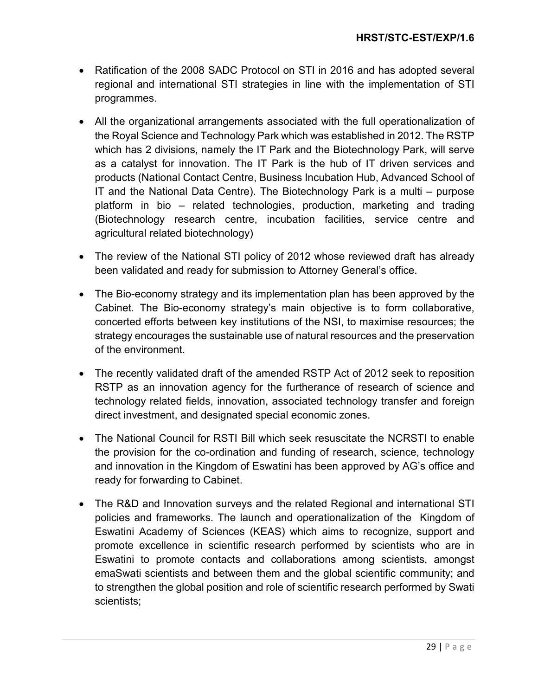- Ratification of the 2008 SADC Protocol on STI in 2016 and has adopted several regional and international STI strategies in line with the implementation of STI programmes.
- All the organizational arrangements associated with the full operationalization of the Royal Science and Technology Park which was established in 2012. The RSTP which has 2 divisions, namely the IT Park and the Biotechnology Park, will serve as a catalyst for innovation. The IT Park is the hub of IT driven services and products (National Contact Centre, Business Incubation Hub, Advanced School of IT and the National Data Centre). The Biotechnology Park is a multi – purpose platform in bio – related technologies, production, marketing and trading (Biotechnology research centre, incubation facilities, service centre and agricultural related biotechnology)
- The review of the National STI policy of 2012 whose reviewed draft has already been validated and ready for submission to Attorney General's office.
- The Bio-economy strategy and its implementation plan has been approved by the Cabinet. The Bio-economy strategy's main objective is to form collaborative, concerted efforts between key institutions of the NSI, to maximise resources; the strategy encourages the sustainable use of natural resources and the preservation of the environment.
- The recently validated draft of the amended RSTP Act of 2012 seek to reposition RSTP as an innovation agency for the furtherance of research of science and technology related fields, innovation, associated technology transfer and foreign direct investment, and designated special economic zones.
- The National Council for RSTI Bill which seek resuscitate the NCRSTI to enable the provision for the co-ordination and funding of research, science, technology and innovation in the Kingdom of Eswatini has been approved by AG's office and ready for forwarding to Cabinet.
- The R&D and Innovation surveys and the related Regional and international STI policies and frameworks. The launch and operationalization of the Kingdom of Eswatini Academy of Sciences (KEAS) which aims to recognize, support and promote excellence in scientific research performed by scientists who are in Eswatini to promote contacts and collaborations among scientists, amongst emaSwati scientists and between them and the global scientific community; and to strengthen the global position and role of scientific research performed by Swati scientists;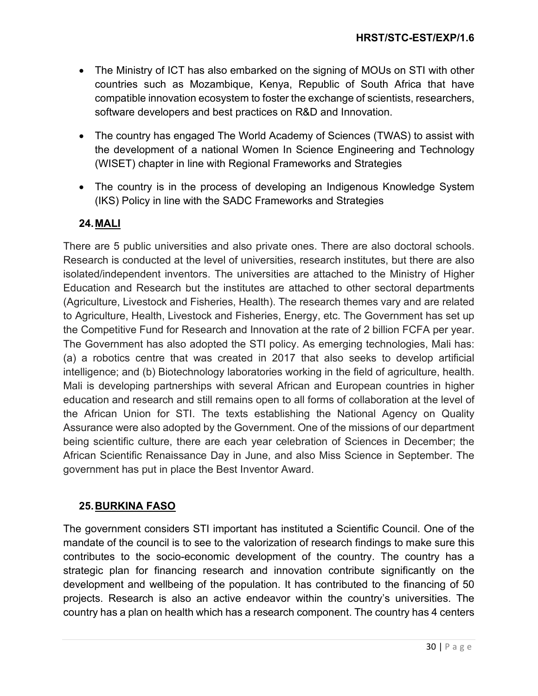- The Ministry of ICT has also embarked on the signing of MOUs on STI with other countries such as Mozambique, Kenya, Republic of South Africa that have compatible innovation ecosystem to foster the exchange of scientists, researchers, software developers and best practices on R&D and Innovation.
- The country has engaged The World Academy of Sciences (TWAS) to assist with the development of a national Women In Science Engineering and Technology (WISET) chapter in line with Regional Frameworks and Strategies
- The country is in the process of developing an Indigenous Knowledge System (IKS) Policy in line with the SADC Frameworks and Strategies

# **24.MALI**

There are 5 public universities and also private ones. There are also doctoral schools. Research is conducted at the level of universities, research institutes, but there are also isolated/independent inventors. The universities are attached to the Ministry of Higher Education and Research but the institutes are attached to other sectoral departments (Agriculture, Livestock and Fisheries, Health). The research themes vary and are related to Agriculture, Health, Livestock and Fisheries, Energy, etc. The Government has set up the Competitive Fund for Research and Innovation at the rate of 2 billion FCFA per year. The Government has also adopted the STI policy. As emerging technologies, Mali has: (a) a robotics centre that was created in 2017 that also seeks to develop artificial intelligence; and (b) Biotechnology laboratories working in the field of agriculture, health. Mali is developing partnerships with several African and European countries in higher education and research and still remains open to all forms of collaboration at the level of the African Union for STI. The texts establishing the National Agency on Quality Assurance were also adopted by the Government. One of the missions of our department being scientific culture, there are each year celebration of Sciences in December; the African Scientific Renaissance Day in June, and also Miss Science in September. The government has put in place the Best Inventor Award.

## **25.BURKINA FASO**

The government considers STI important has instituted a Scientific Council. One of the mandate of the council is to see to the valorization of research findings to make sure this contributes to the socio-economic development of the country. The country has a strategic plan for financing research and innovation contribute significantly on the development and wellbeing of the population. It has contributed to the financing of 50 projects. Research is also an active endeavor within the country's universities. The country has a plan on health which has a research component. The country has 4 centers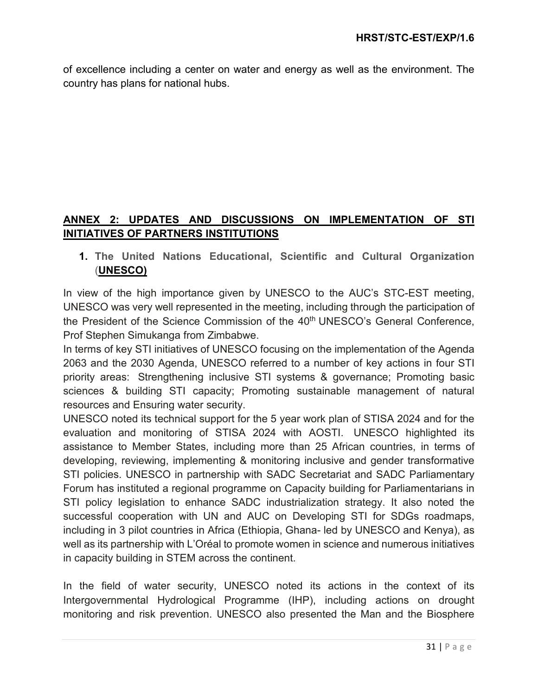of excellence including a center on water and energy as well as the environment. The country has plans for national hubs.

# **ANNEX 2: UPDATES AND DISCUSSIONS ON IMPLEMENTATION OF STI INITIATIVES OF PARTNERS INSTITUTIONS**

**1. The United Nations Educational, Scientific and Cultural Organization** (**UNESCO)**

In view of the high importance given by UNESCO to the AUC's STC-EST meeting, UNESCO was very well represented in the meeting, including through the participation of the President of the Science Commission of the 40<sup>th</sup> UNESCO's General Conference, Prof Stephen Simukanga from Zimbabwe.

In terms of key STI initiatives of UNESCO focusing on the implementation of the Agenda 2063 and the 2030 Agenda, UNESCO referred to a number of key actions in four STI priority areas: Strengthening inclusive STI systems & governance; Promoting basic sciences & building STI capacity; Promoting sustainable management of natural resources and Ensuring water security.

UNESCO noted its technical support for the 5 year work plan of STISA 2024 and for the evaluation and monitoring of STISA 2024 with AOSTI. UNESCO highlighted its assistance to Member States, including more than 25 African countries, in terms of developing, reviewing, implementing & monitoring inclusive and gender transformative STI policies. UNESCO in partnership with SADC Secretariat and SADC Parliamentary Forum has instituted a regional programme on Capacity building for Parliamentarians in STI policy legislation to enhance SADC industrialization strategy. It also noted the successful cooperation with UN and AUC on Developing STI for SDGs roadmaps, including in 3 pilot countries in Africa (Ethiopia, Ghana- led by UNESCO and Kenya), as well as its partnership with L'Oréal to promote women in science and numerous initiatives in capacity building in STEM across the continent.

In the field of water security, UNESCO noted its actions in the context of its Intergovernmental Hydrological Programme (IHP), including actions on drought monitoring and risk prevention. UNESCO also presented the Man and the Biosphere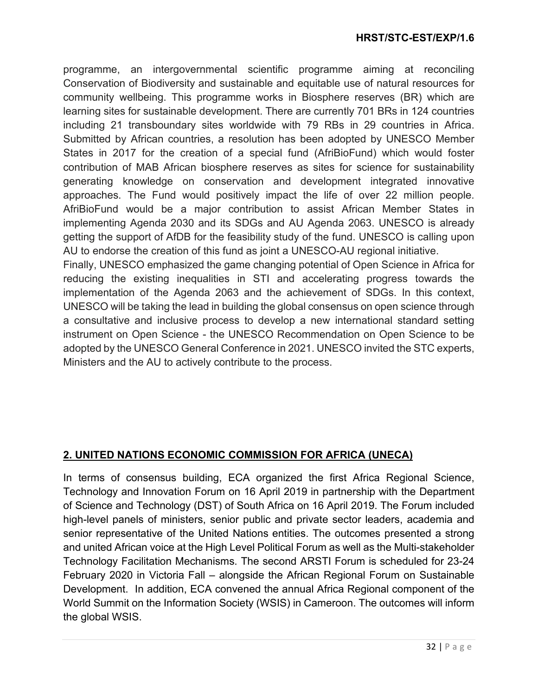programme, an intergovernmental scientific programme aiming at reconciling Conservation of Biodiversity and sustainable and equitable use of natural resources for community wellbeing. This programme works in Biosphere reserves (BR) which are learning sites for sustainable development. There are currently 701 BRs in 124 countries including 21 transboundary sites worldwide with 79 RBs in 29 countries in Africa. Submitted by African countries, a resolution has been adopted by UNESCO Member States in 2017 for the creation of a special fund (AfriBioFund) which would foster contribution of MAB African biosphere reserves as sites for science for sustainability generating knowledge on conservation and development integrated innovative approaches. The Fund would positively impact the life of over 22 million people. AfriBioFund would be a major contribution to assist African Member States in implementing Agenda 2030 and its SDGs and AU Agenda 2063. UNESCO is already getting the support of AfDB for the feasibility study of the fund. UNESCO is calling upon AU to endorse the creation of this fund as joint a UNESCO-AU regional initiative.

Finally, UNESCO emphasized the game changing potential of Open Science in Africa for reducing the existing inequalities in STI and accelerating progress towards the implementation of the Agenda 2063 and the achievement of SDGs. In this context, UNESCO will be taking the lead in building the global consensus on open science through a consultative and inclusive process to develop a new international standard setting instrument on Open Science - the UNESCO Recommendation on Open Science to be adopted by the UNESCO General Conference in 2021. UNESCO invited the STC experts, Ministers and the AU to actively contribute to the process.

## **2. UNITED NATIONS ECONOMIC COMMISSION FOR AFRICA (UNECA)**

In terms of consensus building, ECA organized the first Africa Regional Science, Technology and Innovation Forum on 16 April 2019 in partnership with the Department of Science and Technology (DST) of South Africa on 16 April 2019. The Forum included high-level panels of ministers, senior public and private sector leaders, academia and senior representative of the United Nations entities. The outcomes presented a strong and united African voice at the High Level Political Forum as well as the Multi-stakeholder Technology Facilitation Mechanisms. The second ARSTI Forum is scheduled for 23-24 February 2020 in Victoria Fall – alongside the African Regional Forum on Sustainable Development. In addition, ECA convened the annual Africa Regional component of the World Summit on the Information Society (WSIS) in Cameroon. The outcomes will inform the global WSIS.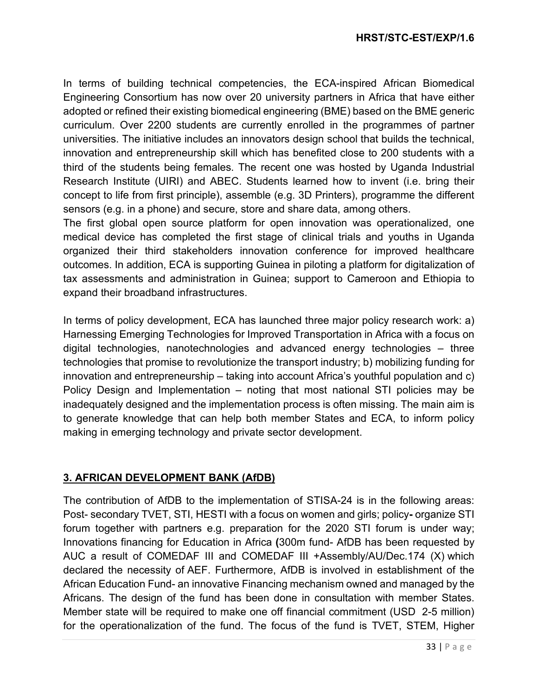### **HRST/STC-EST/EXP/1.6**

In terms of building technical competencies, the ECA-inspired African Biomedical Engineering Consortium has now over 20 university partners in Africa that have either adopted or refined their existing biomedical engineering (BME) based on the BME generic curriculum. Over 2200 students are currently enrolled in the programmes of partner universities. The initiative includes an innovators design school that builds the technical, innovation and entrepreneurship skill which has benefited close to 200 students with a third of the students being females. The recent one was hosted by Uganda Industrial Research Institute (UIRI) and ABEC. Students learned how to invent (i.e. bring their concept to life from first principle), assemble (e.g. 3D Printers), programme the different sensors (e.g. in a phone) and secure, store and share data, among others.

The first global open source platform for open innovation was operationalized, one medical device has completed the first stage of clinical trials and youths in Uganda organized their third stakeholders innovation conference for improved healthcare outcomes. In addition, ECA is supporting Guinea in piloting a platform for digitalization of tax assessments and administration in Guinea; support to Cameroon and Ethiopia to expand their broadband infrastructures.

In terms of policy development, ECA has launched three major policy research work: a) Harnessing Emerging Technologies for Improved Transportation in Africa with a focus on digital technologies, nanotechnologies and advanced energy technologies – three technologies that promise to revolutionize the transport industry; b) mobilizing funding for innovation and entrepreneurship – taking into account Africa's youthful population and c) Policy Design and Implementation – noting that most national STI policies may be inadequately designed and the implementation process is often missing. The main aim is to generate knowledge that can help both member States and ECA, to inform policy making in emerging technology and private sector development.

### **3. AFRICAN DEVELOPMENT BANK (AfDB)**

The contribution of AfDB to the implementation of STISA-24 is in the following areas: Post- secondary TVET, STI, HESTI with a focus on women and girls; policy**-** organize STI forum together with partners e.g. preparation for the 2020 STI forum is under way; Innovations financing for Education in Africa **(**300m fund- AfDB has been requested by AUC a result of COMEDAF III and COMEDAF III +Assembly/AU/Dec.174 (X) which declared the necessity of AEF. Furthermore, AfDB is involved in establishment of the African Education Fund- an innovative Financing mechanism owned and managed by the Africans. The design of the fund has been done in consultation with member States. Member state will be required to make one off financial commitment (USD 2-5 million) for the operationalization of the fund. The focus of the fund is TVET, STEM, Higher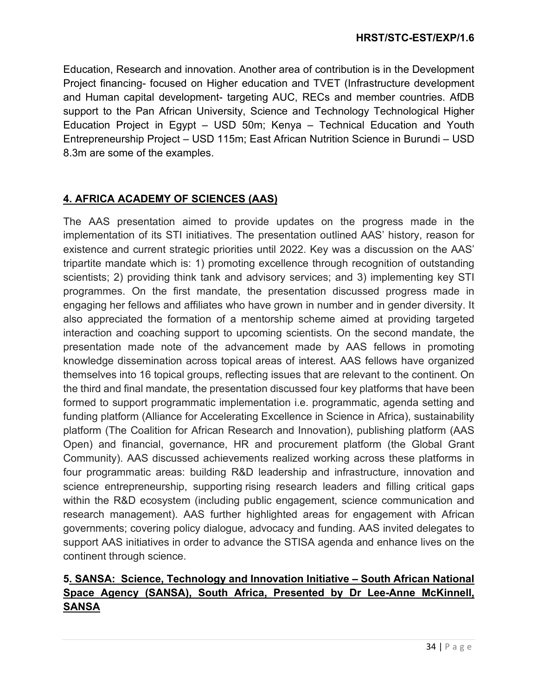Education, Research and innovation. Another area of contribution is in the Development Project financing- focused on Higher education and TVET (Infrastructure development and Human capital development- targeting AUC, RECs and member countries. AfDB support to the Pan African University, Science and Technology Technological Higher Education Project in Egypt – USD 50m; Kenya – Technical Education and Youth Entrepreneurship Project – USD 115m; East African Nutrition Science in Burundi – USD 8.3m are some of the examples.

## **4. AFRICA ACADEMY OF SCIENCES (AAS)**

The AAS presentation aimed to provide updates on the progress made in the implementation of its STI initiatives. The presentation outlined AAS' history, reason for existence and current strategic priorities until 2022. Key was a discussion on the AAS' tripartite mandate which is: 1) promoting excellence through recognition of outstanding scientists; 2) providing think tank and advisory services; and 3) implementing key STI programmes. On the first mandate, the presentation discussed progress made in engaging her fellows and affiliates who have grown in number and in gender diversity. It also appreciated the formation of a mentorship scheme aimed at providing targeted interaction and coaching support to upcoming scientists. On the second mandate, the presentation made note of the advancement made by AAS fellows in promoting knowledge dissemination across topical areas of interest. AAS fellows have organized themselves into 16 topical groups, reflecting issues that are relevant to the continent. On the third and final mandate, the presentation discussed four key platforms that have been formed to support programmatic implementation i.e. programmatic, agenda setting and funding platform (Alliance for Accelerating Excellence in Science in Africa), sustainability platform (The Coalition for African Research and Innovation), publishing platform (AAS Open) and financial, governance, HR and procurement platform (the Global Grant Community). AAS discussed achievements realized working across these platforms in four programmatic areas: building R&D leadership and infrastructure, innovation and science entrepreneurship, supporting rising research leaders and filling critical gaps within the R&D ecosystem (including public engagement, science communication and research management). AAS further highlighted areas for engagement with African governments; covering policy dialogue, advocacy and funding. AAS invited delegates to support AAS initiatives in order to advance the STISA agenda and enhance lives on the continent through science.

# **5. SANSA: Science, Technology and Innovation Initiative – South African National Space Agency (SANSA), South Africa, Presented by Dr Lee-Anne McKinnell, SANSA**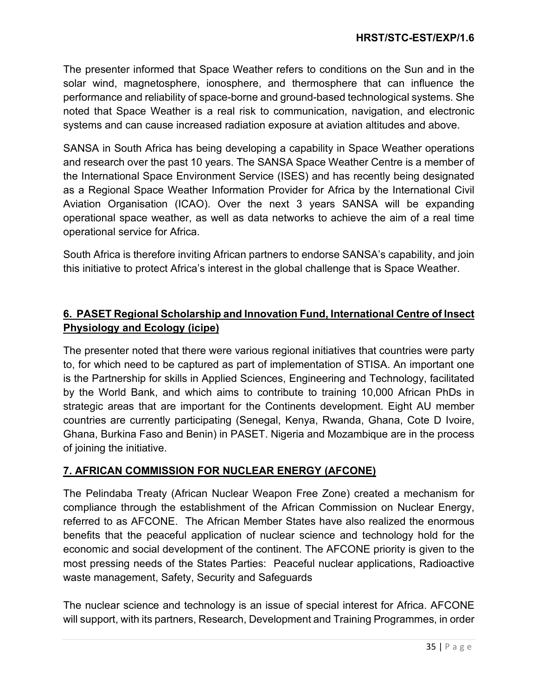The presenter informed that Space Weather refers to conditions on the Sun and in the solar wind, magnetosphere, ionosphere, and thermosphere that can influence the performance and reliability of space-borne and ground-based technological systems. She noted that Space Weather is a real risk to communication, navigation, and electronic systems and can cause increased radiation exposure at aviation altitudes and above.

SANSA in South Africa has being developing a capability in Space Weather operations and research over the past 10 years. The SANSA Space Weather Centre is a member of the International Space Environment Service (ISES) and has recently being designated as a Regional Space Weather Information Provider for Africa by the International Civil Aviation Organisation (ICAO). Over the next 3 years SANSA will be expanding operational space weather, as well as data networks to achieve the aim of a real time operational service for Africa.

South Africa is therefore inviting African partners to endorse SANSA's capability, and join this initiative to protect Africa's interest in the global challenge that is Space Weather.

## **6. PASET Regional Scholarship and Innovation Fund, International Centre of Insect Physiology and Ecology (icipe)**

The presenter noted that there were various regional initiatives that countries were party to, for which need to be captured as part of implementation of STISA. An important one is the Partnership for skills in Applied Sciences, Engineering and Technology, facilitated by the World Bank, and which aims to contribute to training 10,000 African PhDs in strategic areas that are important for the Continents development. Eight AU member countries are currently participating (Senegal, Kenya, Rwanda, Ghana, Cote D Ivoire, Ghana, Burkina Faso and Benin) in PASET. Nigeria and Mozambique are in the process of joining the initiative.

## **7. AFRICAN COMMISSION FOR NUCLEAR ENERGY (AFCONE)**

The Pelindaba Treaty (African Nuclear Weapon Free Zone) created a mechanism for compliance through the establishment of the African Commission on Nuclear Energy, referred to as AFCONE. The African Member States have also realized the enormous benefits that the peaceful application of nuclear science and technology hold for the economic and social development of the continent. The AFCONE priority is given to the most pressing needs of the States Parties: Peaceful nuclear applications, Radioactive waste management, Safety, Security and Safeguards

The nuclear science and technology is an issue of special interest for Africa. AFCONE will support, with its partners, Research, Development and Training Programmes, in order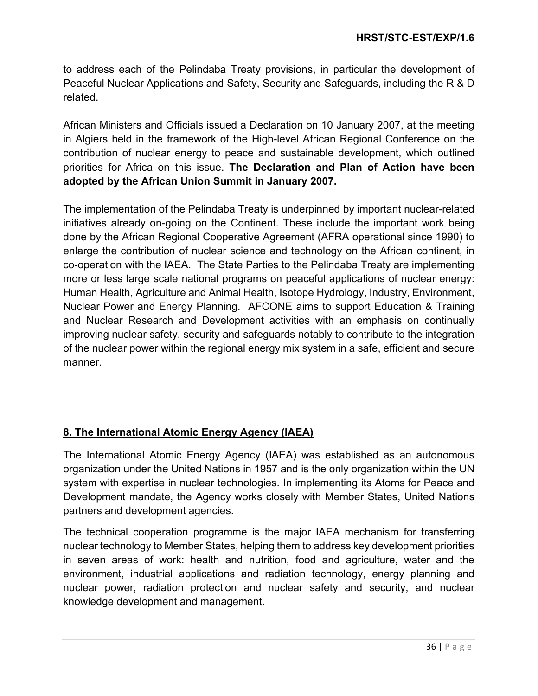to address each of the Pelindaba Treaty provisions, in particular the development of Peaceful Nuclear Applications and Safety, Security and Safeguards, including the R & D related.

African Ministers and Officials issued a Declaration on 10 January 2007, at the meeting in Algiers held in the framework of the High-level African Regional Conference on the contribution of nuclear energy to peace and sustainable development, which outlined priorities for Africa on this issue. **The Declaration and Plan of Action have been adopted by the African Union Summit in January 2007.**

The implementation of the Pelindaba Treaty is underpinned by important nuclear-related initiatives already on-going on the Continent. These include the important work being done by the African Regional Cooperative Agreement (AFRA operational since 1990) to enlarge the contribution of nuclear science and technology on the African continent, in co-operation with the IAEA. The State Parties to the Pelindaba Treaty are implementing more or less large scale national programs on peaceful applications of nuclear energy: Human Health, Agriculture and Animal Health, Isotope Hydrology, Industry, Environment, Nuclear Power and Energy Planning. AFCONE aims to support Education & Training and Nuclear Research and Development activities with an emphasis on continually improving nuclear safety, security and safeguards notably to contribute to the integration of the nuclear power within the regional energy mix system in a safe, efficient and secure manner.

# **8. The International Atomic Energy Agency (IAEA)**

The International Atomic Energy Agency (IAEA) was established as an autonomous organization under the United Nations in 1957 and is the only organization within the UN system with expertise in nuclear technologies. In implementing its Atoms for Peace and Development mandate, the Agency works closely with Member States, United Nations partners and development agencies.

The technical cooperation programme is the major IAEA mechanism for transferring nuclear technology to Member States, helping them to address key development priorities in seven areas of work: health and nutrition, food and agriculture, water and the environment, industrial applications and radiation technology, energy planning and nuclear power, radiation protection and nuclear safety and security, and nuclear knowledge development and management.